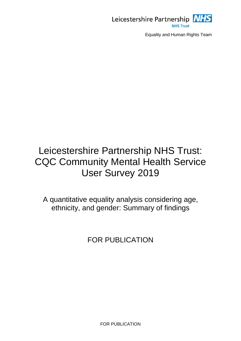

# Leicestershire Partnership NHS Trust: CQC Community Mental Health Service User Survey 2019

A quantitative equality analysis considering age, ethnicity, and gender: Summary of findings

FOR PUBLICATION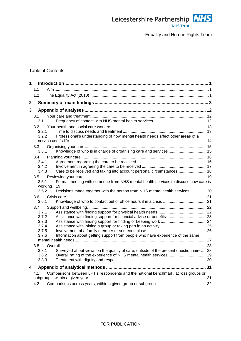

# Table of Contents

| $\mathbf 1$ |                           |                                                                                     |  |
|-------------|---------------------------|-------------------------------------------------------------------------------------|--|
|             | 1 <sub>1</sub>            |                                                                                     |  |
|             | 1.2                       |                                                                                     |  |
| $\mathbf 2$ |                           |                                                                                     |  |
| 3           |                           |                                                                                     |  |
|             | 3.1                       |                                                                                     |  |
|             | 3.1.1                     |                                                                                     |  |
|             | 3.2                       |                                                                                     |  |
|             | 3.2.1                     |                                                                                     |  |
|             | 3.2.2                     | Professional's understanding of how mental health needs affect other areas of a     |  |
|             | 3.3                       |                                                                                     |  |
|             | 3.3.1                     |                                                                                     |  |
|             | 3.4                       |                                                                                     |  |
|             | 3.4.1                     |                                                                                     |  |
|             | 3.4.2                     |                                                                                     |  |
|             | 3.4.3                     | Care to be received and taking into account personal circumstances 18               |  |
|             | 3.5<br>3.5.1              | Formal meeting with someone from NHS mental health services to discuss how care is  |  |
|             | working                   | 19                                                                                  |  |
|             | 3.5.2                     | Decisions made together with the person from NHS mental health services20           |  |
|             | 3.6                       |                                                                                     |  |
|             | 3.6.1                     |                                                                                     |  |
|             | 3.7                       |                                                                                     |  |
|             | 3.7.1                     |                                                                                     |  |
|             | 3.7.2<br>3.7.3            | Assistance with finding support for financial advice or benefits 23                 |  |
|             | 3.7.4                     |                                                                                     |  |
|             | 3.7.5                     |                                                                                     |  |
|             | 3.7.6                     | Information about getting support from people who have experience of the same       |  |
|             |                           |                                                                                     |  |
|             | 3.8 <sub>1</sub><br>3.8.1 | Surveyed about views on the quality of care, outside of the present questionnaire28 |  |
|             | 3.8.2                     |                                                                                     |  |
|             | 3.8.3                     |                                                                                     |  |
| 4           |                           |                                                                                     |  |
|             | 4.1                       | Comparisons between LPT's respondents and the national benchmark, across groups or  |  |
|             |                           |                                                                                     |  |
|             | 4.2                       |                                                                                     |  |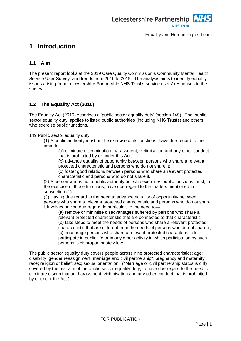

# <span id="page-2-0"></span>**1 Introduction**

# <span id="page-2-1"></span>**1.1 Aim**

The present report looks at the 2019 Care Quality Commission's Community Mental Health Service User Survey, and trends from 2016 to 2019. The analysis aims to identify equality issues arising from Leicestershire Partnership NHS Trust's service users' responses to the survey.

# <span id="page-2-2"></span>**1.2 The Equality Act (2010)**

The Equality Act (2010) describes a 'public sector equality duty' (section 149). The 'public sector equality duty' applies to listed public authorities (including NHS Trusts) and others who exercise public functions.

149 Public sector equality duty:

(1) A public authority must, in the exercise of its functions, have due regard to the need to—

(a) eliminate discrimination, harassment, victimisation and any other conduct that is prohibited by or under this Act;

(b) advance equality of opportunity between persons who share a relevant protected characteristic and persons who do not share it;

(c) foster good relations between persons who share a relevant protected characteristic and persons who do not share it.

(2) A person who is not a public authority but who exercises public functions must, in the exercise of those functions, have due regard to the matters mentioned in subsection (1).

(3) Having due regard to the need to advance equality of opportunity between persons who share a relevant protected characteristic and persons who do not share it involves having due regard, in particular, to the need to—

(a) remove or minimise disadvantages suffered by persons who share a relevant protected characteristic that are connected to that characteristic; (b) take steps to meet the needs of persons who share a relevant protected characteristic that are different from the needs of persons who do not share it; (c) encourage persons who share a relevant protected characteristic to participate in public life or in any other activity in which participation by such persons is disproportionately low.

The public sector equality duty covers people across nine protected characteristics: age; disability; gender reassignment; marriage and civil partnership\*; pregnancy and maternity; race; religion or belief; sex; sexual orientation. (\*Marriage or civil partnership status is only covered by the first aim of the public sector equality duty, to have due regard to the need to eliminate discrimination, harassment, victimisation and any other conduct that is prohibited by or under the Act.)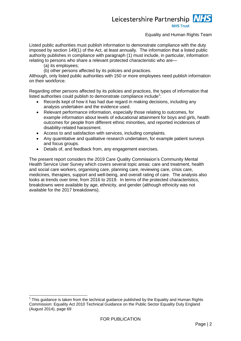# Leicestershire Partnership **NHS Trust**

# Equality and Human Rights Team

Listed public authorities must publish information to demonstrate compliance with the duty imposed by section 149(1) of the Act, at least annually. The information that a listed public authority publishes in compliance with paragraph (1) must include, in particular, information relating to persons who share a relevant protected characteristic who are—

(a) its employees;

-

(b) other persons affected by its policies and practices.

Although, only listed public authorities with 150 or more employees need publish information on their workforce.

Regarding other persons affected by its policies and practices, the types of information that listed authorities could publish to demonstrate compliance include<sup>1</sup>:

- Records kept of how it has had due regard in making decisions, including any analysis undertaken and the evidence used.
- Relevant performance information, especially those relating to outcomes, for example information about levels of educational attainment for boys and girls, health outcomes for people from different ethnic minorities, and reported incidences of disability-related harassment.
- Access to and satisfaction with services, including complaints.
- Any quantitative and qualitative research undertaken, for example patient surveys and focus groups.
- Details of, and feedback from, any engagement exercises.

The present report considers the 2019 Care Quality Commission's Community Mental Health Service User Survey which covers several topic areas: care and treatment, health and social care workers, organising care, planning care, reviewing care, crisis care, medicines, therapies, support and well-being, and overall rating of care. The analysis also looks at trends over time, from 2016 to 2019. In terms of the protected characteristics, breakdowns were available by age, ethnicity, and gender (although ethnicity was not available for the 2017 breakdowns).

<sup>1</sup> This guidance is taken from the technical guidance published by the Equality and Human Rights Commission: Equality Act 2010 Technical Guidance on the Public Sector Equality Duty England (August 2014), page 69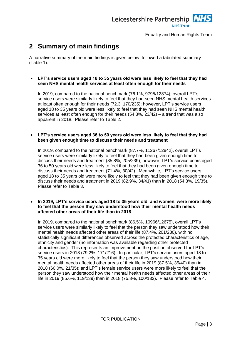

# <span id="page-4-0"></span>**2 Summary of main findings**

A narrative summary of the main findings is given below; followed a tabulated summary [\(Table 1\)](#page-11-0).

### **LPT's service users aged 18 to 35 years old were less likely to feel that they had seen NHS mental health services at least often enough for their needs**

In 2019, compared to the national benchmark (76.1%, 9795/12874), overall LPT's service users were similarly likely to feel that they had seen NHS mental health services at least often enough for their needs (72.3, 170/235); however, LPT's service users aged 18 to 35 years old were less likely to feel that they had seen NHS mental health services at least often enough for their needs (54.8%, 23/42) – a trend that was also apparent in 2018. Please refer to [Table 2.](#page-13-3)

### **LPT's service users aged 36 to 50 years old were less likely to feel that they had been given enough time to discuss their needs and treatment**

In 2019, compared to the national benchmark (87.7%, 11267/12842), overall LPT's service users were similarly likely to feel that they had been given enough time to discuss their needs and treatment (85.8%, 205/239); however, LPT's service users aged 36 to 50 years old were less likely to feel that they had been given enough time to discuss their needs and treatment (71.4%, 30/42). Meanwhile, LPT's service users aged 18 to 35 years old were more likely to feel that they had been given enough time to discuss their needs and treatment in 2019 (82.9%, 34/41) than in 2018 (54.3%, 19/35). Please refer to [Table 3.](#page-14-2)

#### **In 2019, LPT's service users aged 18 to 35 years old, and women, were more likely to feel that the person they saw understood how their mental health needs affected other areas of their life than in 2018**

In 2019, compared to the national benchmark (86.5%, 10966/12675), overall LPT's service users were similarly likely to feel that the person they saw understood how their mental health needs affected other areas of their life (87.4%, 201/230), with no statistically significant differences observed across the protected characteristics of age, ethnicity and gender (no information was available regarding other protected characteristics). This represents an improvement on the position observed for LPT's service users in 2018 (79.2%, 171/216). In particular, LPT's service users aged 18 to 35 years old were more likely to feel that the person they saw understood how their mental health needs affected other areas of their life in 2019 (87.5%, 35/40) than in 2018 (60.0%, 21/35); and LPT's female service users were more likely to feel that the person they saw understood how their mental health needs affected other areas of their life in 2019 (85.6%, 119/139) than in 2018 (75.8%, 100/132). Please refer to [Table 4.](#page-15-1)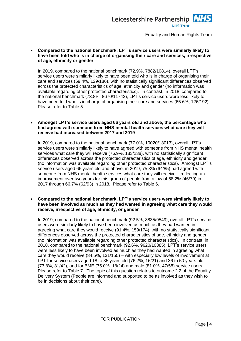

 **Compared to the national benchmark, LPT's service users were similarly likely to have been told who is in charge of organising their care and services, irrespective of age, ethnicity or gender**

In 2019, compared to the national benchmark (72.9%, 7882/10814), overall LPT's service users were similarly likely to have been told who is in charge of organising their care and services (69.4%, 129/186), with no statistically significant differences observed across the protected characteristics of age, ethnicity and gender (no information was available regarding other protected characteristics). In contrast, in 2018, compared to the national benchmark (73.8%, 8670/11743), LPT's service users were less likely to have been told who is in charge of organising their care and services (65.6%, 126/192). Please refer to [Table 5.](#page-16-2)

#### **Amongst LPT's service users aged 66 years old and above, the percentage who had agreed with someone from NHS mental health services what care they will receive had increased between 2017 and 2019**

In 2019, compared to the national benchmark (77.0%, 10020/13013), overall LPT's service users were similarly likely to have agreed with someone from NHS mental health services what care they will receive (76.9%, 183/238), with no statistically significant differences observed across the protected characteristics of age, ethnicity and gender (no information was available regarding other protected characteristics). Amongst LPT's service users aged 66 years old and above, in 2019, 75.3% (64/85) had agreed with someone from NHS mental health services what care they will receive – reflecting an improvement over two years for this group of people from a low of 58.2% (46/79) in 2017 through 66.7% (62/93) in 2018. Please refer to [Table 6.](#page-17-2)

### **Compared to the national benchmark, LPT's service users were similarly likely to have been involved as much as they had wanted in agreeing what care they would receive, irrespective of age, ethnicity, or gender**

In 2019, compared to the national benchmark (92.5%, 8835/9549), overall LPT's service users were similarly likely to have been involved as much as they had wanted in agreeing what care they would receive (91.4%, 159/174), with no statistically significant differences observed across the protected characteristics of age, ethnicity and gender (no information was available regarding other protected characteristics). In contrast, in 2018, compared to the national benchmark (92.6%, 9620/10385), LPT's service users were less likely to have been involved as much as they had wanted in agreeing what care they would receive (84.5%, 131/155) – with especially low levels of involvement at LPT for service users aged 18 to 35 years old (76.2%, 16/21) and 36 to 50 years old (73.8%, 31/42), and for BME (75.0%, 18/24) and male (81.0%, 47/58) service users. Please refer to [Table 7.](#page-18-1) The topic of this question relates to outcome 2.2 of the Equality Delivery System (People are informed and supported to be as involved as they wish to be in decisions about their care).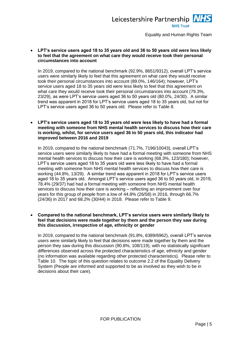

 **LPT's service users aged 18 to 35 years old and 36 to 50 years old were less likely to feel that the agreement on what care they would receive took their personal circumstances into account**

In 2019, compared to the national benchmark (92.9%, 8651/9312), overall LPT's service users were similarly likely to feel that this agreement on what care they would receive took their personal circumstances into account (89.0%, 146/164); however, LPT's service users aged 18 to 35 years old were less likely to feel that this agreement on what care they would receive took their personal circumstances into account (79.3%, 23/29), as were LPT's service users aged 36 to 50 years old (80.0%, 24/30). A similar trend was apparent in 2018 for LPT's service users aged 18 to 35 years old, but not for LPT's service users aged 36 to 50 years old. Please refer to [Table 8.](#page-19-1)

 **LPT's service users aged 18 to 35 years old were less likely to have had a formal meeting with someone from NHS mental health services to discuss how their care is working, whilst, for service users aged 36 to 50 years old, this indicator had improved between 2016 and 2019** 

In 2019, compared to the national benchmark (71.7%, 7196/10043), overall LPT's service users were similarly likely to have had a formal meeting with someone from NHS mental health services to discuss how their care is working (68.3%, 123/180); however, LPT's service users aged 18 to 35 years old were less likely to have had a formal meeting with someone from NHS mental health services to discuss how their care is working (44.8%, 13/29). A similar trend was apparent in 2018 for LPT's service users aged 18 to 35 years old. Amongst LPT's service users aged 36 to 50 years old, in 2019, 78.4% (29/37) had had a formal meeting with someone from NHS mental health services to discuss how their care is working – reflecting an improvement over four years for this group of people from a low of 44.8% (26/58) in 2016, through 66.7% (24/36) in 2017 and 68.2% (30/44) in 2018. Please refer to [Table 9.](#page-20-2)

 **Compared to the national benchmark, LPT's service users were similarly likely to feel that decisions were made together by them and the person they saw during this discussion, irrespective of age, ethnicity or gender**

In 2019, compared to the national benchmark (91.8%, 6389/6962), overall LPT's service users were similarly likely to feel that decisions were made together by them and the person they saw during this discussion (90.8%, 108/119), with no statistically significant differences observed across the protected characteristics of age, ethnicity and gender (no information was available regarding other protected characteristics). Please refer to [Table 10.](#page-21-1) The topic of this question relates to outcome 2.2 of the Equality Delivery System (People are informed and supported to be as involved as they wish to be in decisions about their care).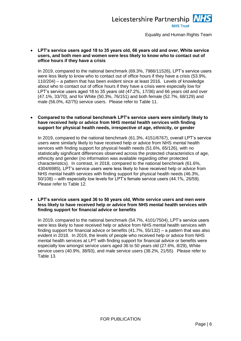

 **LPT's service users aged 18 to 35 years old, 66 years old and over, White service users, and both men and women were less likely to know who to contact out of office hours if they have a crisis**

In 2019, compared to the national benchmark (69.3%, 7986/11526), LPT's service users were less likely to know who to contact out of office hours if they have a crisis (53.9%, 110/204) – a pattern that has been evident since at least 2016. Levels of knowledge about who to contact out of office hours if they have a crisis were especially low for LPT's service users aged 18 to 35 years old (47.2%, 17/36) and 66 years old and over (47.1%, 33/70), and for White (50.3%, 76/151) and both female (52.7%, 68/129) and male (56.0%, 42/75) service users. Please refer to [Table 11.](#page-22-2)

#### **Compared to the national benchmark LPT's service users were similarly likely to have received help or advice from NHS mental health services with finding support for physical health needs, irrespective of age, ethnicity, or gender**

In 2019, compared to the national benchmark (61.3%, 4151/6767), overall LPT's service users were similarly likely to have received help or advice from NHS mental health services with finding support for physical health needs (51.6%, 65/126), with no statistically significant differences observed across the protected characteristics of age, ethnicity and gender (no information was available regarding other protected characteristics). In contrast, in 2018, compared to the national benchmark (61.6%, 4304/6985), LPT's service users were less likely to have received help or advice from NHS mental health services with finding support for physical health needs (46.3%, 50/108) – with especially low levels for LPT's female service users (44.1%, 26/59). Please refer to [Table 12.](#page-23-2)

#### **LPT's service users aged 36 to 50 years old, White service users and men were less likely to have received help or advice from NHS mental health services with finding support for financial advice or benefits**

In 2019, compared to the national benchmark (54.7%, 4101/7504), LPT's service users were less likely to have received help or advice from NHS mental health services with finding support for financial advice or benefits (41.7%, 55/132) – a pattern that was also evident in 2018. In 2019, the levels of people who received help or advice from NHS mental health services at LPT with finding support for financial advice or benefits were especially low amongst service users aged 36 to 50 years old (27.6%, 8/29), White service users (40.9%, 38/93), and male service users (38.2%, 21/55). Please refer to [Table 13.](#page-24-1)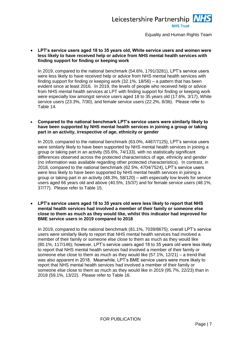

 **LPT's service users aged 18 to 35 years old, White service users and women were less likely to have received help or advice from NHS mental health services with finding support for finding or keeping work**

In 2019, compared to the national benchmark (54.6%, 1791/3281), LPT's service users were less likely to have received help or advice from NHS mental health services with finding support for finding or keeping work (32.1%, 18/56) – a pattern that has been evident since at least 2016. In 2019, the levels of people who received help or advice from NHS mental health services at LPT with finding support for finding or keeping work were especially low amongst service users aged 18 to 35 years old (17.6%, 3/17), White service users (23.3%, 7/30), and female service users (22.2%, 8/36). Please refer to [Table 14.](#page-25-1)

### **Compared to the national benchmark LPT's service users were similarly likely to have been supported by NHS mental health services in joining a group or taking part in an activity, irrespective of age, ethnicity or gender**

In 2019, compared to the national benchmark (63.0%, 4487/7125), LPT's service users were similarly likely to have been supported by NHS mental health services in joining a group or taking part in an activity (55.6%, 74/133), with no statistically significant differences observed across the protected characteristics of age, ethnicity and gender (no information was available regarding other protected characteristics). In contrast, in 2018, compared to the national benchmark (62.5%, 4704/7524), LPT's service users were less likely to have been supported by NHS mental health services in joining a group or taking part in an activity (48.3%, 58/120) – with especially low levels for service users aged 66 years old and above (40.5%, 15/37) and for female service users (48.1%, 37/77). Please refer to [Table 15.](#page-26-1)

 **LPT's service users aged 18 to 35 years old were less likely to report that NHS mental health services had involved a member of their family or someone else close to them as much as they would like, whilst this indicator had improved for BME service users in 2019 compared to 2018**

In 2019, compared to the national benchmark (81.1%, 7039/8675), overall LPT's service users were similarly likely to report that NHS mental health services had involved a member of their family or someone else close to them as much as they would like (80.1%, 117/146); however, LPT's service users aged 18 to 35 years old were less likely to report that NHS mental health services had involved a member of their family or someone else close to them as much as they would like  $(57.1\% \cdot 12/21) - a$  trend that was also apparent in 2018. Meanwhile, LPT's BME service users were more likely to report that NHS mental health services had involved a member of their family or someone else close to them as much as they would like in 2019 (95.7%, 22/23) than in 2018 (59.1%, 13/22). Please refer to [Table 16.](#page-27-1)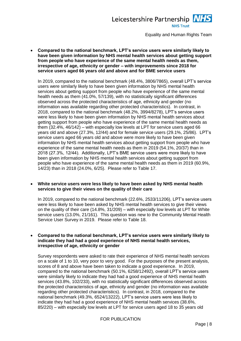

 **Compared to the national benchmark, LPT's service users were similarly likely to have been given information by NHS mental health services about getting support from people who have experience of the same mental health needs as them, irrespective of age, ethnicity or gender – with improvements since 2018 for service users aged 66 years old and above and for BME service users**

In 2019, compared to the national benchmark (48.4%, 3806/7865), overall LPT's service users were similarly likely to have been given information by NHS mental health services about getting support from people who have experience of the same mental health needs as them (41.0%, 57/139), with no statistically significant differences observed across the protected characteristics of age, ethnicity and gender (no information was available regarding other protected characteristics). In contrast, in 2018, compared to the national benchmark (48.2%, 3994/8278), LPT's service users were less likely to have been given information by NHS mental health services about getting support from people who have experience of the same mental health needs as them (32.4%, 46/142) – with especially low levels at LPT for service users aged 66 years old and above (27.3%, 12/44) and for female service users (29.1%, 25/86). LPT's service users aged 66 years old and above were more likely to have been given information by NHS mental health services about getting support from people who have experience of the same mental health needs as them in 2019 (54.1%, 20/37) than in 2018 (27.3%, 12/44). Additionally, LPT's BME service users were more likely to have been given information by NHS mental health services about getting support from people who have experience of the same mental health needs as them in 2019 (60.9%, 14/23) than in 2018 (24.0%, 6/25). Please refer to [Table 17.](#page-28-1)

#### **White service users were less likely to have been asked by NHS mental health services to give their views on the quality of their care**

In 2019, compared to the national benchmark (22.6%, 2533/11206), LPT's service users were less likely to have been asked by NHS mental health services to give their views on the quality of their care (14.8%, 31/209) – with especially low levels at LPT for White service users (13.0%, 21/161). This question was new to the Community Mental Health Service User Survey in 2019. Please refer to [Table 18.](#page-29-2)

#### **Compared to the national benchmark, LPT's service users were similarly likely to indicate they had had a good experience of NHS mental health services, irrespective of age, ethnicity or gender**

Survey respondents were asked to rate their experience of NHS mental health services on a scale of 1 to 10, very poor to very good. For the purposes of the present analysis, scores of 8 and above have been taken to indicate a good experience. In 2019, compared to the national benchmark (50.1%, 6258/12492), overall LPT's service users were similarly likely to indicate they had had a good experience of NHS mental health services (43.8%, 102/233), with no statistically significant differences observed across the protected characteristics of age, ethnicity and gender (no information was available regarding other protected characteristics). In contrast, in 2018, compared to the national benchmark (49.3%, 6524/13222), LPT's service users were less likely to indicate they had had a good experience of NHS mental health services (38.6%, 85/220) – with especially low levels at LPT for service users aged 18 to 35 years old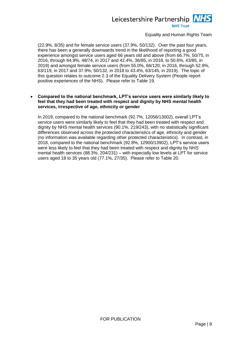# Leicestershire Partnership NHS **NHS Trust**

Equality and Human Rights Team

(22.9%, 8/35) and for female service users (37.9%, 50/132). Over the past four years, there has been a generally downwards trend in the likelihood of reporting a good experience amongst service users aged 66 years old and above (from 66.7%, 50/75, in 2016, through 64.9%, 48/74, in 2017 and 42.4%, 36/85, in 2018, to 50.6%, 43/85, in 2019) and amongst female service users (from 55.0%, 66/120, in 2016, through 52.9%, 63/119, in 2017 and 37.9%, 50/132, in 2018 to 43.4%, 63/145, in 2019). The topic of this question relates to outcome 2.3 of the Equality Delivery System (People report positive experiences of the NHS). Please refer to [Table 19.](#page-30-1)

 **Compared to the national benchmark, LPT's service users were similarly likely to feel that they had been treated with respect and dignity by NHS mental health services, irrespective of age, ethnicity or gender**

In 2019, compared to the national benchmark (92.7%, 12056/13002), overall LPT's service users were similarly likely to feel that they had been treated with respect and dignity by NHS mental health services (90.1%, 219/243), with no statistically significant differences observed across the protected characteristics of age, ethnicity and gender (no information was available regarding other protected characteristics). In contrast, in 2018, compared to the national benchmark (92.8%, 12900/13902), LPT's service users were less likely to feel that they had been treated with respect and dignity by NHS mental health services (88.3%, 204/231) – with especially low levels at LPT for service users aged 18 to 35 years old (77.1%, 27/35). Please refer to [Table 20.](#page-31-1)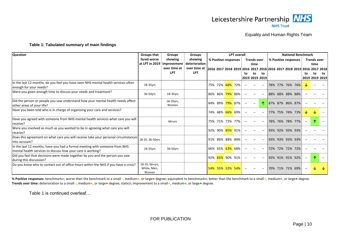

#### <span id="page-11-1"></span>**Table 1: Tabulated summary of main findings**

| <b>Question</b><br><b>Groups that</b><br><b>LPT</b> overall<br><b>Groups</b><br><b>Groups</b>                                             |                                        |                            |                            |                                                                       |  |    |                          | <b>National Benchmark</b> |  |                      |  |                   |                      |    |
|-------------------------------------------------------------------------------------------------------------------------------------------|----------------------------------------|----------------------------|----------------------------|-----------------------------------------------------------------------|--|----|--------------------------|---------------------------|--|----------------------|--|-------------------|----------------------|----|
|                                                                                                                                           | fared worse                            | showing                    | showing                    | % Positive responses                                                  |  |    | <b>Trends over</b>       |                           |  | % Positive responses |  |                   | <b>Trends over</b>   |    |
|                                                                                                                                           |                                        | at LPT in 2019 improvement | deterioration              |                                                                       |  |    | time                     |                           |  |                      |  |                   | time                 |    |
|                                                                                                                                           |                                        | over time at<br><b>LPT</b> | over time at<br><b>LPT</b> | 2016 2017 2018 2019 2016 2017 2018 2016 2017 2018 2019 2016 2017 2018 |  |    |                          |                           |  |                      |  |                   |                      |    |
|                                                                                                                                           |                                        |                            |                            |                                                                       |  | to | to<br>2019 2019 2019     | to                        |  |                      |  | tο                | to<br>2019 2019 2019 | to |
| In the last 12 months, do you feel you have seen NHS mental health services often<br>enough for your needs?                               | 18-35yrs                               |                            |                            | 75% 72% 68% 72%                                                       |  |    |                          |                           |  | 78% 77% 76% 76%      |  |                   |                      |    |
| Were you given enough time to discuss your needs and treatment?                                                                           | 36-50yrs                               | 18-35yrs                   |                            | 86% 86% 79% 86%                                                       |  |    |                          |                           |  | 88% 88% 88% 88%      |  |                   |                      |    |
| Did the person or people you saw understand how your mental health needs affect<br>other areas of your life?                              |                                        | 18-35yrs,<br>Women         |                            | 84% 89% 79% 87%                                                       |  |    | $\overline{\phantom{m}}$ |                           |  | 87% 87% 86% 87%      |  |                   |                      |    |
| Have you been told who is in charge of organising your care and services?                                                                 |                                        |                            |                            | 74% 68% 66% 69%                                                       |  |    |                          |                           |  | 77% 75% 74% 73%      |  |                   |                      |    |
| Have you agreed with someone from NHS mental health services what care you will<br>receive?                                               |                                        | $66+Vrs$                   |                            | 75% 71% 72% 77%                                                       |  |    |                          |                           |  | 78% 76% 78% 77%      |  | $\qquad \qquad -$ |                      |    |
| Were you involved as much as you wanted to be in agreeing what care you will<br>receive?                                                  |                                        |                            |                            | 92% 90% 85% 91%                                                       |  |    |                          |                           |  | 93% 92% 93% 93%      |  |                   |                      |    |
| Does this agreement on what care you will receive take your personal circumstances<br>into account?                                       | 18-35, 36-50yrs                        |                            |                            | 91% 89% 88% 89%                                                       |  |    |                          |                           |  | 93% 93% 93% 93%      |  |                   |                      |    |
| In the last 12 months, have you had a formal meeting with someone from NHS<br>mental health services to discuss how your care is working? | 18-35yrs                               | 36-50yrs                   |                            | 66% 65% 63% 68%                                                       |  |    |                          |                           |  | 72% 72% 72% 72%      |  |                   |                      |    |
| Did you feel that decisions were made together by you and the person you saw<br>during this discussion?                                   |                                        |                            |                            | 92% 83% 90% 91%                                                       |  |    |                          |                           |  | 92% 91% 91% 92%      |  |                   |                      |    |
| Do you know who to contact out of office hours within the NHS if you have a crisis?                                                       | 18-35, 66+yrs,<br>White, Men,<br>Women |                            |                            | 54% 55% 52% 54%                                                       |  |    |                          |                           |  | 70% 71% 71% 69%      |  |                   |                      |    |

<span id="page-11-0"></span>% Positive responses: benchmark●; worse than the benchmark to a small●, medium●, or large● degree; equivalent to benchmarko; better than the benchmark to a small●, medium●, or large● degree. Trends over time: deterioration to a small●, medium●, or large● degree; statico; improvement to a small●, medium●, or large● degree.

[Table 1](#page-11-1) is continued overleaf…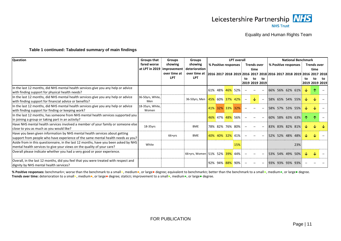

#### **[Table 1](#page-11-1) continued: Tabulated summary of main findings**

| <b>Question</b>                                                                     | Groups that      | <b>Groups</b> | <b>Groups</b>                 | <b>LPT overall</b> |                      |  |                 | <b>National Benchmark</b> |                                                                       |                          |  |  |                      |     |    |                    |    |
|-------------------------------------------------------------------------------------|------------------|---------------|-------------------------------|--------------------|----------------------|--|-----------------|---------------------------|-----------------------------------------------------------------------|--------------------------|--|--|----------------------|-----|----|--------------------|----|
|                                                                                     | fared worse      | showing       | showing                       |                    | % Positive responses |  |                 |                           | <b>Trends over</b>                                                    |                          |  |  | % Positive responses |     |    | <b>Trends over</b> |    |
|                                                                                     | at LPT in 2019   | improvement   | deterioration                 |                    |                      |  |                 |                           | time                                                                  |                          |  |  |                      |     |    | time               |    |
|                                                                                     |                  | over time at  | over time at                  |                    |                      |  |                 |                           | 2016 2017 2018 2019 2016 2017 2018 2016 2017 2018 2019 2016 2017 2018 |                          |  |  |                      |     |    |                    |    |
|                                                                                     |                  | <b>LPT</b>    | <b>LPT</b>                    |                    |                      |  |                 | to                        | to                                                                    | to                       |  |  |                      |     | to | to                 | to |
|                                                                                     |                  |               |                               |                    |                      |  |                 |                           | 2019 2019 2019                                                        |                          |  |  |                      |     |    | 2019 2019 2019     |    |
| In the last 12 months, did NHS mental health services give you any help or advice   |                  |               |                               |                    | 61% 48% 46% 52%      |  |                 |                           |                                                                       |                          |  |  | 66% 56% 62% 61%      |     | ∿  |                    |    |
| with finding support for physical health needs?                                     |                  |               |                               |                    |                      |  |                 |                           |                                                                       |                          |  |  |                      |     |    |                    |    |
| In the last 12 months, did NHS mental health services give you any help or advice   | 36-50yrs, White, |               | 36-50yrs, Men 45% 60% 37% 42% |                    |                      |  |                 | $\overline{\phantom{m}}$  |                                                                       | $\overline{\phantom{a}}$ |  |  | 58% 65% 54% 55%      |     |    |                    |    |
| with finding support for financial advice or benefits?                              | Men              |               |                               |                    |                      |  |                 |                           |                                                                       |                          |  |  |                      |     |    |                    |    |
| In the last 12 months, did NHS mental health services give you any help or advice   | 18-35yrs, White, |               |                               |                    | 41% 32% 33% 32%      |  |                 |                           |                                                                       |                          |  |  | 58% 57% 53% 55%      |     |    |                    |    |
| with finding support for finding or keeping work?                                   | Women            |               |                               |                    |                      |  |                 |                           |                                                                       |                          |  |  |                      |     |    |                    |    |
| In the last 12 months, has someone from NHS mental health services supported you    |                  |               |                               |                    | 46% 47% 48% 56%      |  |                 |                           |                                                                       |                          |  |  | 60% 58% 63% 63%      |     |    |                    |    |
| in joining a group or taking part in an activity?                                   |                  |               |                               |                    |                      |  |                 |                           |                                                                       |                          |  |  |                      |     |    |                    |    |
| Have NHS mental health services involved a member of your family or someone else    | $18-35$ yrs      |               | <b>BME</b>                    |                    | 78% 82% 76% 80%      |  |                 |                           |                                                                       |                          |  |  | 83% 83% 82% 81%      |     |    |                    |    |
| close to you as much as you would like?                                             |                  |               |                               |                    |                      |  |                 |                           |                                                                       |                          |  |  |                      |     |    |                    |    |
| Have you been given information by NHS mental health services about getting         |                  | $66+vrs$      | <b>BME</b>                    |                    |                      |  | 40% 40% 32% 41% |                           |                                                                       |                          |  |  | 52% 52% 48% 48%      |     |    |                    |    |
| support from people who have experience of the same mental health needs as you?     |                  |               |                               |                    |                      |  |                 |                           |                                                                       |                          |  |  |                      |     |    |                    |    |
| Aside from in this questionnaire, in the last 12 months, have you been asked by NHS | White            |               |                               |                    |                      |  | 15%             |                           |                                                                       |                          |  |  |                      | 23% |    |                    |    |
| mental health services to give your views on the quality of your care?              |                  |               |                               |                    |                      |  |                 |                           |                                                                       |                          |  |  |                      |     |    |                    |    |
| Overall please indicate whether you had a very good or poor experience.             |                  |               | 66+yrs, Women 51% 52% 39% 44% |                    |                      |  |                 |                           |                                                                       |                          |  |  | 53% 54% 49% 50%      |     |    |                    |    |
|                                                                                     |                  |               |                               |                    |                      |  |                 |                           |                                                                       |                          |  |  |                      |     |    |                    |    |
| Overall, in the last 12 months, did you feel that you were treated with respect and |                  |               |                               |                    |                      |  | 92% 94% 88% 90% |                           |                                                                       |                          |  |  | 93% 93% 93% 93%      |     |    |                    |    |
| dignity by NHS mental health services?                                              |                  |               |                               |                    |                      |  |                 |                           |                                                                       |                          |  |  |                      |     |    |                    |    |

% Positive responses: benchmark●; worse than the benchmark to a small●, medium●, or large● degree; equivalent to benchmarko; better than the benchmark to a small●, medium●, or large● degree. **Trends over time:** deterioration to a small●, medium●, or large● degree; statico; improvement to a small●, medium●, or large● degree.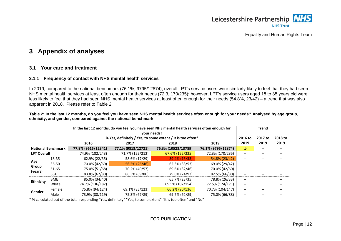

# **3 Appendix of analyses**

# **3.1 Your care and treatment**

#### **3.1.1 Frequency of contact with NHS mental health services**

In 2019, compared to the national benchmark (76.1%, 9795/12874), overall LPT's service users were similarly likely to feel that they had seen NHS mental health services at least often enough for their needs (72.3, 170/235); however, LPT's service users aged 18 to 35 years old were less likely to feel that they had seen NHS mental health services at least often enough for their needs (54.8%, 23/42) – a trend that was also apparent in 2018. Please refer to [Table 2.](#page-13-4)

<span id="page-13-4"></span>**Table 2: In the last 12 months, do you feel you have seen NHS mental health services often enough for your needs? Analysed by age group, ethnicity, and gender, compared against the national benchmark**

<span id="page-13-0"></span>

|                    | In the last 12 months, do you feel you have seen NHS mental health services often enough for<br>your needs?<br>% Yes, definitely / Yes, to some extent / It is too often* |                    |                    |                     |                    |         |         |         |
|--------------------|---------------------------------------------------------------------------------------------------------------------------------------------------------------------------|--------------------|--------------------|---------------------|--------------------|---------|---------|---------|
|                    |                                                                                                                                                                           |                    |                    |                     |                    | 2016 to | 2017 to | 2018 to |
|                    |                                                                                                                                                                           | 2016               | 2017               | 2018                | 2019               | 2019    | 2019    | 2019    |
|                    | <b>National Benchmark</b>                                                                                                                                                 | 77.9% (9615/12341) | 77.1% (9813/12721) | 76.3% (10523/13789) | 76.1% (9795/12874) | ↓       |         |         |
| <b>LPT Overall</b> |                                                                                                                                                                           | 74.9% (182/243)    | 71.7% (152/212)    | 67.6% (152/225)     | 72.3% (170/235)    |         |         |         |
|                    | 18-35                                                                                                                                                                     | 62.9% (22/35)      | 58.6% (17/29)      | 39.4% (13/33)       | 54.8% (23/42)      |         |         |         |
| Age                | $36 - 50$                                                                                                                                                                 | 70.0% (42/60)      | 56.5% (26/46)      | 62.3% (33/53)       | 69.0% (29/42)      |         |         |         |
| Group<br>(years)   | 51-65                                                                                                                                                                     | 75.0% (51/68)      | 70.2% (40/57)      | 69.6% (32/46)       | 70.0% (42/60)      |         |         |         |
|                    | 66+                                                                                                                                                                       | 83.8% (67/80)      | 86.3% (69/80)      | 79.6% (74/93)       | 82.5% (66/80)      |         |         |         |
| <b>Ethnicity</b>   | <b>BME</b>                                                                                                                                                                | 85.0% (34/40)      |                    | 65.7% (23/35)       | 78.8% (26/33)      |         |         |         |
|                    | White                                                                                                                                                                     | 74.7% (136/182)    |                    | 69.5% (107/154)     | 72.5% (124/171)    |         |         |         |
| Gender             | Female                                                                                                                                                                    | 75.8% (94/124)     | 69.1% (85/123)     | 66.2% (90/136)      | 70.7% (104/147)    |         |         |         |
|                    | Male                                                                                                                                                                      | 73.9% (88/119)     | 75.3% (67/89)      | 69.7% (62/89)       | 75.0% (66/88)      |         |         |         |

<span id="page-13-3"></span><span id="page-13-2"></span><span id="page-13-1"></span>\* % calculated out of the total responding "Yes, definitely" "Yes, to some extent" "It is too often" and "No"

FOR PUBLICATION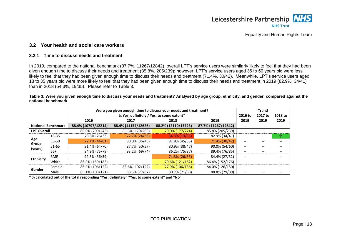

# **3.2 Your health and social care workers**

#### **3.2.1 Time to discuss needs and treatment**

In 2019, compared to the national benchmark (87.7%, 11267/12842), overall LPT's service users were similarly likely to feel that they had been given enough time to discuss their needs and treatment (85.8%, 205/239); however, LPT's service users aged 36 to 50 years old were less likely to feel that they had been given enough time to discuss their needs and treatment (71.4%, 30/42). Meanwhile, LPT's service users aged 18 to 35 years old were more likely to feel that they had been given enough time to discuss their needs and treatment in 2019 (82.9%, 34/41) than in 2018 (54.3%, 19/35). Please refer to [Table 3.](#page-14-3)

#### <span id="page-14-3"></span>**Table 3: Were you given enough time to discuss your needs and treatment? Analysed by age group, ethnicity, and gender, compared against the national benchmark**

|                            |                           |                     | Were you given enough time to discuss your needs and treatment? |                     |                     | <b>Trend</b> |         |         |
|----------------------------|---------------------------|---------------------|-----------------------------------------------------------------|---------------------|---------------------|--------------|---------|---------|
|                            |                           |                     | % Yes, definitely / Yes, to some extent*                        |                     |                     | 2016 to      | 2017 to | 2018 to |
|                            |                           | 2016                | 2017                                                            | 2018                | 2019                | 2019         | 2019    | 2019    |
|                            | <b>National Benchmark</b> | 88.4% (10797/12214) | 88.4% (11157/12626)                                             | 88.2% (12110/13723) | 87.7% (11267/12842) |              |         |         |
| <b>LPT Overall</b>         |                           | 86.0% (209/243)     | 85.6% (179/209)                                                 | 79.0% (177/224)     | 85.8% (205/239)     |              |         |         |
| Age                        | 18-35                     | 78.8% (26/33)       | 72.7% (24/33)                                                   | 54.3% (19/35)       | 82.9% (34/41)       |              |         | 不       |
|                            | $36 - 50$                 | 72.1% (44/61)       | 80.0% (36/45)                                                   | 81.8% (45/55)       | 71.4% (30/42)       |              |         |         |
| Group<br>(years)           | $51 - 65$                 | 91.4% (64/70)       | 87.7% (50/57)                                                   | 80.9% (38/47)       | 90.0% (54/60)       |              |         |         |
|                            | 66+                       | 94.9% (75/79)       | 93.2% (69/74)                                                   | 86.2% (75/87)       | 89.4% (76/85)       |              |         |         |
|                            | <b>BME</b>                | 92.3% (36/39)       |                                                                 | 74.3% (26/35)       | 84.4% (27/32)       | -            |         |         |
| <b>Ethnicity</b><br>Gender | White                     | 86.9% (159/183)     |                                                                 | 79.6% (121/152)     | 86.4% (152/176)     |              |         |         |
|                            | Female                    | 86.9% (106/122)     | 83.6% (102/122)                                                 | 77.9% (106/136)     | 84.0% (126/150)     |              |         |         |
|                            | Male                      | 85.1% (103/121)     | 88.5% (77/87)                                                   | 80.7% (71/88)       | 88.8% (79/89)       |              |         |         |

<span id="page-14-2"></span><span id="page-14-1"></span><span id="page-14-0"></span>**\* % calculated out of the total responding "Yes, definitely" "Yes, to some extent" and "No"**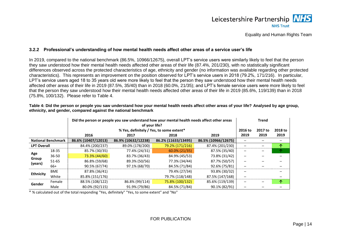# Leicestershire Partnership NHS **NHS Trust**

# Equality and Human Rights Team

# **3.2.2 Professional's understanding of how mental health needs affect other areas of a service user's life**

In 2019, compared to the national benchmark (86.5%, 10966/12675), overall LPT's service users were similarly likely to feel that the person they saw understood how their mental health needs affected other areas of their life (87.4%, 201/230), with no statistically significant differences observed across the protected characteristics of age, ethnicity and gender (no information was available regarding other protected characteristics). This represents an improvement on the position observed for LPT's service users in 2018 (79.2%, 171/216). In particular, LPT's service users aged 18 to 35 years old were more likely to feel that the person they saw understood how their mental health needs affected other areas of their life in 2019 (87.5%, 35/40) than in 2018 (60.0%, 21/35); and LPT's female service users were more likely to feel that the person they saw understood how their mental health needs affected other areas of their life in 2019 (85.6%, 119/139) than in 2018 (75.8%, 100/132). Please refer to [Table 4.](#page-15-2)

<span id="page-15-0"></span>

|                            |                           |                     | Did the person or people you saw understand how your mental health needs affect other areas<br>of your life? |                     |                     |         |         |         |  |
|----------------------------|---------------------------|---------------------|--------------------------------------------------------------------------------------------------------------|---------------------|---------------------|---------|---------|---------|--|
|                            |                           |                     | % Yes, definitely / Yes, to some extent*                                                                     |                     |                     | 2016 to | 2017 to | 2018 to |  |
|                            |                           | 2016                | 2017                                                                                                         | 2018                | 2019                | 2019    | 2019    | 2019    |  |
|                            | <b>National Benchmark</b> | 86.6% (10407/12013) | 86.9% (10632/12238)                                                                                          | 86.2% (11633/13495) | 86.5% (10966/12675) |         |         |         |  |
| <b>LPT Overall</b>         |                           | 84.4% (200/237)     | 89.0% (178/200)                                                                                              | 79.2% (171/216)     | 87.4% (201/230)     |         |         | ́∩      |  |
|                            | 18-35                     | 85.7% (30/35)       | 77.4% (24/31)                                                                                                | $60.0\% (21/35)$    | 87.5% (35/40)       |         |         |         |  |
| Age                        | $36 - 50$                 | 73.3% (44/60)       | 83.7% (36/43)                                                                                                | 84.9% (45/53)       | 73.8% (31/42)       |         |         |         |  |
| Group<br>(years)           | $51 - 65$                 | 86.8% (59/68)       | 89.3% (50/56)                                                                                                | 77.3% (34/44)       | 87.7% (50/57)       |         |         |         |  |
|                            | 66+                       | 90.5% (67/74)       | 97.1% (68/70)                                                                                                | 84.5% (71/84)       | 92.6% (75/81)       |         |         |         |  |
|                            | <b>BME</b>                | 87.8% (36/41)       |                                                                                                              | 79.4% (27/34)       | 93.8% (30/32)       | —       |         |         |  |
| <b>Ethnicity</b><br>Gender | White                     | 85.8% (151/176)     |                                                                                                              | 79.7% (118/148)     | 87.5% (147/168)     |         |         |         |  |
|                            | Female                    | 88.5% (108/122)     | 86.8% (99/114)                                                                                               | 75.8% (100/132)     | 85.6% (119/139)     |         |         | ᠰ       |  |
|                            | Male                      | 80.0% (92/115)      | 91.9% (79/86)                                                                                                | 84.5% (71/84)       | 90.1% (82/91)       |         |         |         |  |

<span id="page-15-2"></span>**Table 4: Did the person or people you saw understand how your mental health needs affect other areas of your life? Analysed by age group, ethnicity, and gender, compared against the national benchmark**

<span id="page-15-1"></span>\* % calculated out of the total responding "Yes, definitely" "Yes, to some extent" and "No"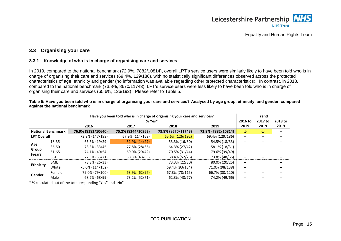

# **3.3 Organising your care**

#### **3.3.1 Knowledge of who is in charge of organising care and services**

In 2019, compared to the national benchmark (72.9%, 7882/10814), overall LPT's service users were similarly likely to have been told who is in charge of organising their care and services (69.4%, 129/186), with no statistically significant differences observed across the protected characteristics of age, ethnicity and gender (no information was available regarding other protected characteristics). In contrast, in 2018, compared to the national benchmark (73.8%, 8670/11743), LPT's service users were less likely to have been told who is in charge of organising their care and services (65.6%, 126/192). Please refer to [Table 5.](#page-16-3)

|                            |                           |                    | Have you been told who is in charge of organising your care and services? |                    |                    |         |         |         |  |  |
|----------------------------|---------------------------|--------------------|---------------------------------------------------------------------------|--------------------|--------------------|---------|---------|---------|--|--|
|                            |                           |                    | $% Yes*$                                                                  |                    |                    | 2016 to | 2017 to | 2018 to |  |  |
|                            |                           | 2016               | 2017                                                                      | 2018               | 2019               | 2019    | 2019    | 2019    |  |  |
|                            | <b>National Benchmark</b> | 76.9% (8182/10640) | 75.2% (8244/10963)                                                        | 73.8% (8670/11743) | 72.9% (7882/10814) | ↓       | V       |         |  |  |
| <b>LPT Overall</b>         |                           | 73.9% (147/199)    | 67.9% (114/168)                                                           | 65.6% (126/192)    | 69.4% (129/186)    |         |         |         |  |  |
| Age                        | 18-35                     | 65.5% (19/29)      | 51.9% (14/27)                                                             | 53.3% (16/30)      | 54.5% (18/33)      |         |         |         |  |  |
|                            | $36 - 50$                 | 73.3% (33/45)      | 77.8% (28/36)                                                             | 64.3% (27/42)      | 58.1% (18/31)      |         |         |         |  |  |
| Group<br>(years)           | 51-65                     | 74.1% (40/54)      | 69.0% (29/42)                                                             | 70.5% (31/44)      | 79.6% (39/49)      |         |         |         |  |  |
|                            | 66+                       | 77.5% (55/71)      | 68.3% (43/63)                                                             | 68.4% (52/76)      | 73.8% (48/65)      |         |         |         |  |  |
|                            | <b>BME</b>                | 78.8% (26/33)      |                                                                           | 73.3% (22/30)      | 80.0% (20/25)      |         |         |         |  |  |
| <b>Ethnicity</b><br>Gender | White                     | 75.0% (114/152)    |                                                                           | 69.4% (93/134)     | 71.0% (98/138)     |         |         |         |  |  |
|                            | Female                    | 79.0% (79/100)     | 63.9% (62/97)                                                             | 67.8% (78/115)     | 66.7% (80/120)     |         |         |         |  |  |
|                            | Male                      | 68.7% (68/99)      | 73.2% (52/71)                                                             | 62.3% (48/77)      | 74.2% (49/66)      |         |         |         |  |  |

<span id="page-16-3"></span>**Table 5: Have you been told who is in charge of organising your care and services? Analysed by age group, ethnicity, and gender, compared against the national benchmark**

<span id="page-16-2"></span><span id="page-16-1"></span><span id="page-16-0"></span>\* % calculated out of the total responding "Yes" and "No"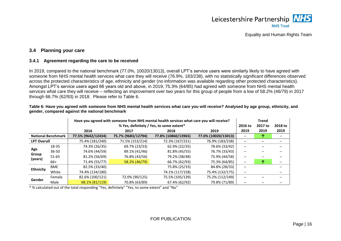

# **3.4 Planning your care**

#### **3.4.1 Agreement regarding the care to be received**

In 2019, compared to the national benchmark (77.0%, 10020/13013), overall LPT's service users were similarly likely to have agreed with someone from NHS mental health services what care they will receive (76.9%, 183/238), with no statistically significant differences observed across the protected characteristics of age, ethnicity and gender (no information was available regarding other protected characteristics). Amongst LPT's service users aged 66 years old and above, in 2019, 75.3% (64/85) had agreed with someone from NHS mental health services what care they will receive – reflecting an improvement over two years for this group of people from a low of 58.2% (46/79) in 2017 through 66.7% (62/93) in 2018. Please refer to [Table 6.](#page-17-3)

|                    |                           | gender, compared against the national benchmark |                    |                                                                                          |                     |         |              |         |
|--------------------|---------------------------|-------------------------------------------------|--------------------|------------------------------------------------------------------------------------------|---------------------|---------|--------------|---------|
|                    |                           |                                                 |                    | Have you agreed with someone from NHS mental health services what care you will receive? |                     |         | <b>Trend</b> |         |
|                    |                           |                                                 |                    | % Yes, definitely / Yes, to some extent*                                                 |                     | 2016 to | 2017 to      | 2018 to |
|                    |                           | 2016                                            | 2017               | 2018                                                                                     | 2019                | 2019    | 2019         | 2019    |
|                    | <b>National Benchmark</b> | 77.5% (9642/12434)                              | 75.7% (9683/12794) | 77.8% (10860/13965)                                                                      | 77.0% (10020/13013) |         | 灬            |         |
| <b>LPT Overall</b> |                           | 75.4% (181/240)                                 | 71.5% (153/214)    | 72.3% (167/231)                                                                          | 76.9% (183/238)     |         |              |         |
|                    | 18-35                     | 74.3% (26/35)                                   | 69.7% (23/33)      | 62.9% (22/35)                                                                            | 78.6% (33/42)       |         |              |         |
| Age                | $36 - 50$                 | 74.6% (44/59)                                   | 89.1% (41/46)      | 81.8% (45/55)                                                                            | 76.7% (33/43)       |         |              |         |
| Group              | $51 - 65$                 | 81.2% (56/69)                                   | 76.8% (43/56)      | 79.2% (38/48)                                                                            | 75.9% (44/58)       |         |              | -       |
| (years)            | 66+                       | 71.4% (55/77)                                   | 58.2% (46/79)      | 66.7% (62/93)                                                                            | 75.3% (64/85)       |         | ́^           |         |
|                    | <b>BME</b>                | 82.5% (33/40)                                   |                    | 75.8% (25/33)                                                                            | 84.8% (28/33)       |         |              |         |
| <b>Ethnicity</b>   | $AA/L:++$                 | 71.00111211001                                  |                    | 74.40/11171170                                                                           | 75.40 / 14.22 / 175 |         |              |         |

<span id="page-17-1"></span><span id="page-17-0"></span>**Gender** Female 82.6% (100/121) 72.0% (90/125) 75.5% (105/139) 75.2% (112/149) **─ ─ ─**

Male 68.1% (81/119) 70.8% (63/89) 67.4% (62/92) 79.8% (71/89) **─ ─ ─**

White 74.4% (134/180) 74.1% (117/158) 75.4% (132/175) **─ ─**

#### <span id="page-17-3"></span>**Table 6: Have you agreed with someone from NHS mental health services what care you will receive? Analysed by age group, ethnicity, and gender, compared against the national benchmark**

<span id="page-17-2"></span>\* % calculated out of the total responding "Yes, definitely" "Yes, to some extent" and "No"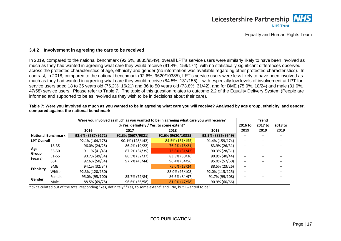

#### **3.4.2 Involvement in agreeing the care to be received**

In 2019, compared to the national benchmark (92.5%, 8835/9549), overall LPT's service users were similarly likely to have been involved as much as they had wanted in agreeing what care they would receive (91.4%, 159/174), with no statistically significant differences observed across the protected characteristics of age, ethnicity and gender (no information was available regarding other protected characteristics). In contrast, in 2018, compared to the national benchmark (92.6%, 9620/10385), LPT's service users were less likely to have been involved as much as they had wanted in agreeing what care they would receive (84.5%, 131/155) – with especially low levels of involvement at LPT for service users aged 18 to 35 years old (76.2%, 16/21) and 36 to 50 years old (73.8%, 31/42), and for BME (75.0%, 18/24) and male (81.0%, 47/58) service users. Please refer to [Table 7.](#page-18-2) The topic of this question relates to outcome 2.2 of the Equality Delivery System (People are informed and supported to be as involved as they wish to be in decisions about their care).

<span id="page-18-0"></span>

|                            |                           |                   | Were you involved as much as you wanted to be in agreeing what care you will receive? |                    |                   |         |         |         |  |  |
|----------------------------|---------------------------|-------------------|---------------------------------------------------------------------------------------|--------------------|-------------------|---------|---------|---------|--|--|
|                            |                           |                   | % Yes, definitely / Yes, to some extent*                                              |                    |                   | 2016 to | 2017 to | 2018 to |  |  |
|                            |                           | 2016              | 2017                                                                                  | 2018               | 2019              | 2019    | 2019    | 2019    |  |  |
|                            | <b>National Benchmark</b> | 92.6% (8587/9272) | 92.3% (8607/9321)                                                                     | 92.6% (9620/10385) | 92.5% (8835/9549) |         |         |         |  |  |
| <b>LPT Overall</b>         |                           | 92.1% (164/178)   | 90.1% (128/142)                                                                       | 84.5% (131/155)    | 91.4% (159/174)   |         |         |         |  |  |
|                            | 18-35                     | 96.0% (24/25)     | 86.4% (19/22)                                                                         | 76.2% (16/21)      | 83.9% (26/31)     |         |         |         |  |  |
| Age<br>Group               | $36 - 50$                 | 91.1% (41/45)     | 87.2% (34/39)                                                                         | 73.8% (31/42)      | 90.3% (28/31)     |         |         |         |  |  |
|                            | $51 - 65$                 | 90.7% (49/54)     | 86.5% (32/37)                                                                         | 83.3% (30/36)      | 90.9% (40/44)     |         |         |         |  |  |
| (years)                    | 66+                       | 92.6% (50/54)     | 97.7% (43/44)                                                                         | 96.4% (54/56)      | 95.0% (57/60)     |         |         |         |  |  |
|                            | <b>BME</b>                | 94.1% (32/34)     |                                                                                       | 75.0% (18/24)      | 88.5% (23/26)     |         |         |         |  |  |
| <b>Ethnicity</b><br>Gender | White                     | 92.3% (120/130)   |                                                                                       | 88.0% (95/108)     | 92.0% (115/125)   |         |         |         |  |  |
|                            | Female                    | 95.0% (95/100)    | 85.7% (72/84)                                                                         | 86.6% (84/97)      | 91.7% (99/108)    |         |         |         |  |  |
|                            | Male                      | 88.5% (69/78)     | 96.6% (56/58)                                                                         | 81.0% (47/58)      | 90.9% (60/66)     |         |         |         |  |  |

<span id="page-18-2"></span>**Table 7: Were you involved as much as you wanted to be in agreeing what care you will receive? Analysed by age group, ethnicity, and gender, compared against the national benchmark**

<span id="page-18-1"></span>\* % calculated out of the total responding "Yes, definitely" "Yes, to some extent" and "No, but I wanted to be"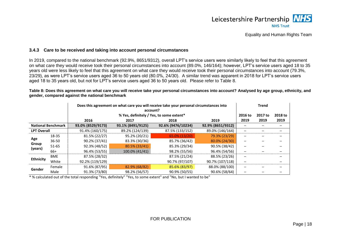

#### **3.4.3 Care to be received and taking into account personal circumstances**

In 2019, compared to the national benchmark (92.9%, 8651/9312), overall LPT's service users were similarly likely to feel that this agreement on what care they would receive took their personal circumstances into account (89.0%, 146/164); however, LPT's service users aged 18 to 35 years old were less likely to feel that this agreement on what care they would receive took their personal circumstances into account (79.3%, 23/29), as were LPT's service users aged 36 to 50 years old (80.0%, 24/30). A similar trend was apparent in 2018 for LPT's service users aged 18 to 35 years old, but not for LPT's service users aged 36 to 50 years old. Please refer to [Table 8.](#page-19-2)

|                    |                           |                   | <b>Trend</b>                             |                    |                   |         |         |         |
|--------------------|---------------------------|-------------------|------------------------------------------|--------------------|-------------------|---------|---------|---------|
|                    |                           |                   | % Yes, definitely / Yes, to some extent* |                    |                   | 2016 to | 2017 to | 2018 to |
|                    |                           | 2016              | 2017                                     | 2018               | 2019              | 2019    | 2019    | 2019    |
|                    | <b>National Benchmark</b> | 93.0% (8529/9173) | 93.1% (8491/9125)                        | 92.6% (9476/10234) | 92.9% (8651/9312) |         |         |         |
| <b>LPT Overall</b> |                           | 91.4% (160/175)   | 89.2% (124/139)                          | 87.5% (133/152)    | 89.0% (146/164)   |         |         |         |
|                    | 18-35                     | 81.5% (22/27)     | 95.2% (20/21)                            | 65.0% (13/20)      | 79.3% (23/29)     |         |         |         |
| Age                | $36 - 50$                 | 90.2% (37/41)     | 83.3% (30/36)                            | 85.7% (36/42)      | 80.0% (24/30)     |         |         |         |
| Group              | $51 - 65$                 | 92.3% (48/52)     | 80.5% (33/41)                            | 85.3% (29/34)      | 90.5% (38/42)     |         |         |         |
| (years)            | 66+                       | 96.4% (53/55)     | 100.0% (41/41)                           | 98.2% (55/56)      | 96.4% (54/56)     |         |         |         |
| <b>Ethnicity</b>   | <b>BME</b>                | 87.5% (28/32)     |                                          | 87.5% (21/24)      | 88.5% (23/26)     |         |         |         |
|                    | White                     | 92.2% (119/129)   |                                          | 90.7% (97/107)     | 90.7% (107/118)   |         |         |         |
| Gender             | Female                    | 91.6% (87/95)     | 82.9% (68/82)                            | 85.6% (83/97)      | 88.0% (88/100)    |         |         |         |
|                    | Male                      | 91.3% (73/80)     | 98.2% (56/57)                            | 90.9% (50/55)      | 90.6% (58/64)     |         |         |         |

<span id="page-19-2"></span>**Table 8: Does this agreement on what care you will receive take your personal circumstances into account? Analysed by age group, ethnicity, and gender, compared against the national benchmark**

<span id="page-19-1"></span><span id="page-19-0"></span>\* % calculated out of the total responding "Yes, definitely" "Yes, to some extent" and "No, but I wanted to be"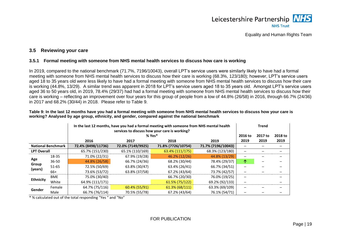

# **3.5 Reviewing your care**

### **3.5.1 Formal meeting with someone from NHS mental health services to discuss how care is working**

In 2019, compared to the national benchmark (71.7%, 7196/10043), overall LPT's service users were similarly likely to have had a formal meeting with someone from NHS mental health services to discuss how their care is working (68.3%, 123/180); however, LPT's service users aged 18 to 35 years old were less likely to have had a formal meeting with someone from NHS mental health services to discuss how their care is working (44.8%, 13/29). A similar trend was apparent in 2018 for LPT's service users aged 18 to 35 years old. Amongst LPT's service users aged 36 to 50 years old, in 2019, 78.4% (29/37) had had a formal meeting with someone from NHS mental health services to discuss how their care is working – reflecting an improvement over four years for this group of people from a low of 44.8% (26/58) in 2016, through 66.7% (24/36) in 2017 and 68.2% (30/44) in 2018. Please refer to [Table 9.](#page-20-3)

<span id="page-20-1"></span><span id="page-20-0"></span>

|                    |                           |                    | <b>Trend</b>      |                    |                    |            |         |         |
|--------------------|---------------------------|--------------------|-------------------|--------------------|--------------------|------------|---------|---------|
|                    |                           |                    | $% Yes*$          |                    |                    | 2016 to    | 2017 to | 2018 to |
|                    |                           | 2016               | 2017              | 2018               | 2019               | 2019       | 2019    | 2019    |
|                    | <b>National Benchmark</b> | 72.4% (8498/11736) | 72.0% (7149/9925) | 71.8% (7726/10754) | 71.7% (7196/10043) |            |         |         |
| <b>LPT Overall</b> |                           | 65.7% (151/230)    | 65.1% (110/169)   | 63.4% (111/175)    | 68.3% (123/180)    |            |         |         |
| Age                | 18-35                     | 71.0% (22/31)      | 67.9% (19/28)     | 46.2% (12/26)      | 44.8% (13/29)      |            |         |         |
|                    | $36 - 50$                 | 44.8% (26/58)      | 66.7% (24/36)     | 68.2% (30/44)      | 78.4% (29/37)      | $\uparrow$ |         |         |
| Group<br>(years)   | $51 - 65$                 | 72.5% (50/69)      | 63.8% (30/47)     | 63.4% (26/41)      | 66.7% (34/51)      |            |         |         |
|                    | $66+$                     | 73.6% (53/72)      | 63.8% (37/58)     | 67.2% (43/64)      | 73.7% (42/57)      |            |         |         |
| <b>Ethnicity</b>   | <b>BME</b>                | 75.0% (30/40)      |                   | 66.7% (20/30)      | 76.0% (19/25)      | —          |         |         |
|                    | White                     | 64.9% (111/171)    |                   | 61.5% (75/122)     | 69.2% (92/133)     |            |         |         |
|                    | Female                    | 64.7% (75/116)     | 60.4% (55/91)     | $61.3\% (68/111)$  | 63.3% (69/109)     |            |         |         |
| Gender             | Male                      | 66.7% (76/114)     | 70.5% (55/78)     | 67.2% (43/64)      | 76.1% (54/71)      |            |         |         |

<span id="page-20-3"></span>**Table 9: In the last 12 months have you had a formal meeting with someone from NHS mental health services to discuss how your care is working? Analysed by age group, ethnicity, and gender, compared against the national benchmark**

<span id="page-20-2"></span>\* % calculated out of the total responding "Yes " and "No"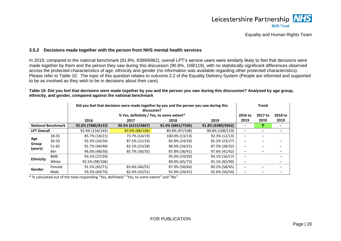

#### **3.5.2 Decisions made together with the person from NHS mental health services**

In 2019, compared to the national benchmark (91.8%, 6389/6962), overall LPT's service users were similarly likely to feel that decisions were made together by them and the person they saw during this discussion (90.8%, 108/119), with no statistically significant differences observed across the protected characteristics of age, ethnicity and gender (no information was available regarding other protected characteristics). Please refer to [Table 10.](#page-21-2) The topic of this question relates to outcome 2.2 of the Equality Delivery System (People are informed and supported to be as involved as they wish to be in decisions about their care).

<span id="page-21-2"></span>**Table 10: Did you feel that decisions were made together by you and the person you saw during this discussion? Analysed by age group, ethnicity, and gender, compared against the national benchmark**

|                            |                           |                   | Did you feel that decisions were made together by you and the person you saw during this<br>discussion? |                   |                   |         |         |         |  |
|----------------------------|---------------------------|-------------------|---------------------------------------------------------------------------------------------------------|-------------------|-------------------|---------|---------|---------|--|
|                            |                           |                   | % Yes, definitely / Yes, to some extent*                                                                |                   |                   | 2016 to | 2017 to | 2018 to |  |
|                            |                           | 2016              | 2017                                                                                                    | 2018              | 2019              | 2019    | 2019    | 2019    |  |
|                            | <b>National Benchmark</b> | 92.0% (7480/8132) | 90.5% (6215/6867)                                                                                       | 91.4% (6861/7506) | 91.8% (6389/6962) |         |         |         |  |
| <b>LPT Overall</b>         |                           | 92.4% (134/145)   | 83.0% (88/106)                                                                                          | 89.8% (97/108)    | 90.8% (108/119)   |         |         |         |  |
|                            | 18-35                     | 85.7% (18/21)     | 73.7% (14/19)                                                                                           | 100.0% (13/13)    | 92.3% (12/13)     |         |         |         |  |
| Age<br>Group               | $36 - 50$                 | 92.3% (24/26)     | 87.5% (21/24)                                                                                           | 82.8% (24/29)     | 85.2% (23/27)     |         |         |         |  |
| (years)                    | 51-65                     | 91.7% (44/48)     | 82.1% (23/28)                                                                                           | 96.0% (24/25)     | 87.5% (28/32)     |         |         |         |  |
|                            | 66+                       | 96.0% (48/50)     | 85.7% (30/35)                                                                                           | 87.8% (36/41)     | 97.6% (41/42)     |         |         |         |  |
|                            | <b>BME</b>                | 93.1% (27/29)     |                                                                                                         | 95.0% (19/20)     | 94.1% (16/17)     | —       |         |         |  |
| <b>Ethnicity</b><br>Gender | White                     | 92.5% (98/106)    |                                                                                                         | 89.0% (65/73)     | 91.1% (82/90)     |         |         |         |  |
|                            | Female                    | 91.5% (65/71)     | 83.6% (46/55)                                                                                           | 87.9% (58/66)     | 89.2% (58/65)     |         |         |         |  |
|                            | Male                      | 93.2% (69/74)     | 82.4% (42/51)                                                                                           | 92.9% (39/42)     | 92.6% (50/54)     |         |         |         |  |

<span id="page-21-1"></span><span id="page-21-0"></span>\* % calculated out of the total responding "Yes, definitely" "Yes, to some extent" and "No"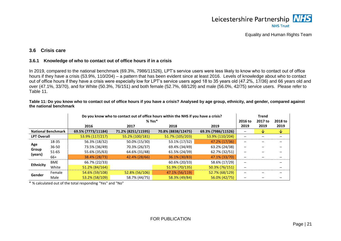

# **3.6 Crisis care**

#### **3.6.1 Knowledge of who to contact out of office hours if in a crisis**

In 2019, compared to the national benchmark (69.3%, 7986/11526), LPT's service users were less likely to know who to contact out of office hours if they have a crisis (53.9%, 110/204) – a pattern that has been evident since at least 2016. Levels of knowledge about who to contact out of office hours if they have a crisis were especially low for LPT's service users aged 18 to 35 years old (47.2%, 17/36) and 66 years old and over (47.1%, 33/70), and for White (50.3%, 76/151) and both female (52.7%, 68/129) and male (56.0%, 42/75) service users. Please refer to [Table 11.](#page-22-3)

<span id="page-22-3"></span>**Table 11: Do you know who to contact out of office hours if you have a crisis? Analysed by age group, ethnicity, and gender, compared against the national benchmark**

|                    |                           |                    | Do you know who to contact out of office hours within the NHS if you have a crisis? |                    |                    |         |         |         |
|--------------------|---------------------------|--------------------|-------------------------------------------------------------------------------------|--------------------|--------------------|---------|---------|---------|
|                    |                           |                    | $% Yes*$                                                                            |                    |                    | 2016 to | 2017 to | 2018 to |
|                    |                           | 2016               | 2017                                                                                | 2018               | 2019               | 2019    | 2019    | 2019    |
|                    | <b>National Benchmark</b> | 69.5% (7773/11184) | 71.2% (8251/11595)                                                                  | 70.8% (8838/12475) | 69.3% (7986/11526) |         | ∿       | ∿       |
| <b>LPT Overall</b> |                           | 53.9% (117/217)    | 55.2% (100/181)                                                                     | 51.7% (105/203)    | 53.9% (110/204)    |         |         |         |
| Age                | 18-35                     | 56.3% (18/32)      | 50.0% (15/30)                                                                       | 53.1% (17/32)      | 47.2% (17/36)      |         |         |         |
|                    | $36 - 50$                 | 73.5% (36/49)      | 70.3% (26/37)                                                                       | 69.4% (34/49)      | 63.2% (24/38)      |         |         |         |
| Group              | $51 - 65$                 | 55.6% (35/63)      | 64.6% (31/48)                                                                       | 61.5% (24/39)      | 62.7% (32/51)      |         |         |         |
| (years)            | 66+                       | 38.4% (28/73)      | 42.4% (28/66)                                                                       | 36.1% (30/83)      | 47.1% (33/70)      |         |         |         |
|                    | <b>BME</b>                | 66.7% (22/33)      |                                                                                     | 60.6% (20/33)      | 58.6% (17/29)      |         |         |         |
| <b>Ethnicity</b>   | White                     | 51.2% (84/164)     |                                                                                     | 51.9% (70/135)     | 50.3% (76/151)     |         |         |         |
|                    | Female                    | 54.6% (59/108)     | 52.8% (56/106)                                                                      | 47.1% (56/119)     | 52.7% (68/129)     |         |         |         |
| Gender             | Male                      | 53.2% (58/109)     | 58.7% (44/75)                                                                       | 58.3% (49/84)      | 56.0% (42/75)      |         |         |         |

<span id="page-22-2"></span><span id="page-22-1"></span><span id="page-22-0"></span>\* % calculated out of the total responding "Yes" and "No"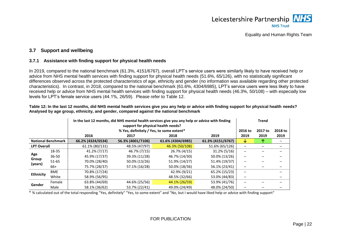

# **3.7 Support and wellbeing**

#### **3.7.1 Assistance with finding support for physical health needs**

In 2019, compared to the national benchmark (61.3%, 4151/6767), overall LPT's service users were similarly likely to have received help or advice from NHS mental health services with finding support for physical health needs (51.6%, 65/126), with no statistically significant differences observed across the protected characteristics of age, ethnicity and gender (no information was available regarding other protected characteristics). In contrast, in 2018, compared to the national benchmark (61.6%, 4304/6985), LPT's service users were less likely to have received help or advice from NHS mental health services with finding support for physical health needs (46.3%, 50/108) – with especially low levels for LPT's female service users (44.1%, 26/59). Please refer to [Table 12.](#page-23-3)

<span id="page-23-0"></span>

|                    |                           |                   | In the last 12 months, did NHS mental health services give you any help or advice with finding<br>support for physical health needs? |                   |                   | Trend                    |                 |                 |
|--------------------|---------------------------|-------------------|--------------------------------------------------------------------------------------------------------------------------------------|-------------------|-------------------|--------------------------|-----------------|-----------------|
|                    |                           | 2016              | % Yes, definitely / Yes, to some extent*<br>2017                                                                                     | 2018              | 2019              | 2016 to<br>2019          | 2017 to<br>2019 | 2018 to<br>2019 |
|                    | <b>National Benchmark</b> | 66.2% (4324/6534) | 56.3% (4001/7106)                                                                                                                    | 61.6% (4304/6985) | 61.3% (4151/6767) | ₩                        |                 |                 |
| <b>LPT Overall</b> |                           | 61.1% (80/131)    | 48.5% (47/97)                                                                                                                        | 46.3% (50/108)    | 51.6% (65/126)    |                          |                 |                 |
|                    | 18-35                     | 41.2% (7/17)      | 46.7% (7/15)                                                                                                                         | 26.7% (4/15)      | $31.2\% (5/16)$   |                          |                 |                 |
| Age                | $36 - 50$                 | 45.9% (17/37)     | 39.3% (11/28)                                                                                                                        | 46.7% (14/30)     | 50.0% (13/26)     |                          |                 |                 |
| Group              | 51-65                     | 70.0% (28/40)     | 50.0% (13/26)                                                                                                                        | 51.9% (14/27)     | 51.4% (19/37)     |                          |                 |                 |
| (years)            | 66+                       | 75.7% (28/37)     | 57.1% (16/28)                                                                                                                        | 50.0% (18/36)     | 56.1% (23/41)     |                          |                 |                 |
|                    | <b>BME</b>                | 70.8% (17/24)     |                                                                                                                                      | 42.9% (9/21)      | 65.2% (15/23)     | $\overline{\phantom{a}}$ |                 |                 |
| <b>Ethnicity</b>   | White                     | 58.9% (56/95)     |                                                                                                                                      | 48.5% (32/66)     | 53.0% (44/83)     |                          |                 |                 |
| Gender             | Female                    | 63.8% (44/69)     | 44.6% (25/56)                                                                                                                        | 44.1% (26/59)     | 53.9% (41/76)     |                          |                 |                 |
|                    | Male                      | 58.1% (36/62)     | 53.7% (22/41)                                                                                                                        | 49.0% (24/49)     | 48.0% (24/50)     |                          |                 |                 |

#### <span id="page-23-3"></span>**Table 12: In the last 12 months, did NHS mental health services give you any help or advice with finding support for physical health needs? Analysed by age group, ethnicity, and gender, compared against the national benchmark**

<span id="page-23-2"></span><span id="page-23-1"></span>\* % calculated out of the total responding "Yes, definitely" "Yes, to some extent" and "No, but I would have liked help or advice with finding support"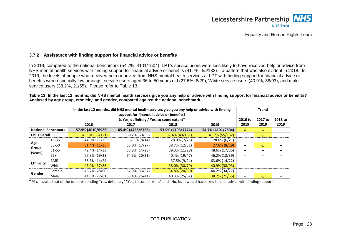

# **3.7.2 Assistance with finding support for financial advice or benefits**

In 2019, compared to the national benchmark (54.7%, 4101/7504), LPT's service users were less likely to have received help or advice from NHS mental health services with finding support for financial advice or benefits (41.7%, 55/132) – a pattern that was also evident in 2018. In 2019, the levels of people who received help or advice from NHS mental health services at LPT with finding support for financial advice or benefits were especially low amongst service users aged 36 to 50 years old (27.6%, 8/29), White service users (40.9%, 38/93), and male service users (38.2%, 21/55). Please refer to [Table 13.](#page-24-2)

<span id="page-24-2"></span>**Table 13: In the last 12 months, did NHS mental health services give you any help or advice with finding support for financial advice or benefits? Analysed by age group, ethnicity, and gender, compared against the national benchmark**

|                    |                           |                   | In the last 12 months, did NHS mental health services give you any help or advice with finding<br>support for financial advice or benefits? |                   |                   |         |              |         |
|--------------------|---------------------------|-------------------|---------------------------------------------------------------------------------------------------------------------------------------------|-------------------|-------------------|---------|--------------|---------|
|                    |                           |                   | % Yes, definitely / Yes, to some extent*                                                                                                    |                   |                   | 2016 to | 2017 to      | 2018 to |
|                    |                           | 2016              | 2017                                                                                                                                        | 2018              | 2019              | 2019    | 2019         | 2019    |
|                    | <b>National Benchmark</b> | 57.9% (4010/6926) | 65.4% (4423/6768)                                                                                                                           | 53.9% (4193/7774) | 54.7% (4101/7504) | V       | ∿            |         |
| <b>LPT Overall</b> |                           | 45.5% (55/121)    | 60.2% (59/98)                                                                                                                               | 37.4% (49/131)    | 41.7% (55/132)    |         | ↓            |         |
|                    | 18-35                     | 44.0% (11/25)     | 57.1% (8/14)                                                                                                                                | 28.0% (7/25)      | 28.6% (6/21)      |         |              |         |
| Age                | $36 - 50$                 | 31.4% (11/35)     | 63.0% (17/27)                                                                                                                               | 38.7% (12/31)     | 27.6% (8/29)      |         | $\downarrow$ |         |
| Group<br>(years)   | $51 - 65$                 | 42.4% (14/33)     | 53.8% (14/26)                                                                                                                               | 39.3% (11/28)     | 48.6% (17/35)     |         |              |         |
|                    | 66+                       | 67.9% (19/28)     | 64.5% (20/31)                                                                                                                               | 40.4% (19/47)     | 46.2% (18/39)     |         |              |         |
|                    | <b>BME</b>                | 58.3% (14/24)     |                                                                                                                                             | 37.5% (9/24)      | 63.6% (14/22)     |         |              |         |
| <b>Ethnicity</b>   | White                     | 43.0% (37/86)     |                                                                                                                                             | 38.0% (30/79)     | 40.9% (38/93)     |         |              |         |
|                    | Female                    | 46.7% (28/60)     | 57.9% (33/57)                                                                                                                               | 34.8% (24/69)     | 44.2% (34/77)     |         |              |         |
| Gender             | Male                      | 44.3% (27/61)     | 63.4% (26/41)                                                                                                                               | 40.3% (25/62)     | 38.2% (21/55)     |         | ∿            |         |

<span id="page-24-1"></span><span id="page-24-0"></span>\* % calculated out of the total responding "Yes, definitely" "Yes, to some extent" and "No, but I would have liked help or advice with finding support"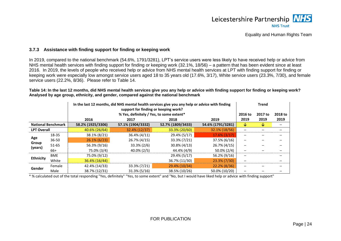

### **3.7.3 Assistance with finding support for finding or keeping work**

In 2019, compared to the national benchmark (54.6%, 1791/3281), LPT's service users were less likely to have received help or advice from NHS mental health services with finding support for finding or keeping work (32.1%, 18/56) – a pattern that has been evident since at least 2016. In 2019, the levels of people who received help or advice from NHS mental health services at LPT with finding support for finding or keeping work were especially low amongst service users aged 18 to 35 years old (17.6%, 3/17), White service users (23.3%, 7/30), and female service users (22.2%, 8/36). Please refer to [Table 14.](#page-25-2)

#### <span id="page-25-2"></span>**Table 14: In the last 12 months, did NHS mental health services give you any help or advice with finding support for finding or keeping work? Analysed by age group, ethnicity, and gender, compared against the national benchmark**

|                    |                              |                   | In the last 12 months, did NHS mental health services give you any help or advice with finding<br>support for finding or keeping work? |                   |                   |         |         | <b>Trend</b> |  |  |
|--------------------|------------------------------|-------------------|----------------------------------------------------------------------------------------------------------------------------------------|-------------------|-------------------|---------|---------|--------------|--|--|
|                    |                              |                   | % Yes, definitely / Yes, to some extent*                                                                                               |                   |                   | 2016 to | 2017 to | 2018 to      |  |  |
|                    | 2016<br>2019<br>2017<br>2018 |                   |                                                                                                                                        |                   | 2019              | 2019    | 2019    |              |  |  |
|                    | <b>National Benchmark</b>    | 58.2% (1925/3306) | 57.1% (1904/3332)                                                                                                                      | 52.7% (1809/3433) | 54.6% (1791/3281) | ₩       | ₩       |              |  |  |
| <b>LPT Overall</b> |                              | 40.6% (26/64)     | 32.4% (12/37)                                                                                                                          | 33.3% (20/60)     | 32.1% (18/56)     |         |         |              |  |  |
|                    | 18-35                        | 38.1% (8/21)      | 36.4% (4/11)                                                                                                                           | 29.4% (5/17)      | $17.6\% (3/17)$   |         |         |              |  |  |
| Age                | $36 - 50$                    | $26.1\% (6/23)$   | 26.7% (4/15)                                                                                                                           | 33.3% (7/21)      | 37.5% (6/16)      |         |         |              |  |  |
| Group              | $51 - 65$                    | 56.3% (9/16)      | 33.3% (2/6)                                                                                                                            | 30.8% (4/13)      | 26.7% (4/15)      |         |         |              |  |  |
| (years)            | 66+                          | 75.0% (3/4)       | 40.0% (2/5)                                                                                                                            | 44.4% (4/9)       | $50.0\% (2/4)$    |         |         |              |  |  |
| <b>Ethnicity</b>   | <b>BME</b>                   | 75.0% (9/12)      |                                                                                                                                        | 29.4% (5/17)      | 56.2% (9/16)      |         |         |              |  |  |
|                    | White                        | 36.4% (16/44)     |                                                                                                                                        | 36.7% (11/30)     | 23.3% (7/30)      |         |         |              |  |  |
| Gender             | Female                       | 42.4% (14/33)     | 33.3% (7/21)                                                                                                                           | 29.4% (10/34)     | 22.2% (8/36)      |         |         |              |  |  |
|                    | Male                         | 38.7% (12/31)     | $31.3\%$ (5/16)                                                                                                                        | 38.5% (10/26)     | 50.0% (10/20)     |         |         |              |  |  |

<span id="page-25-1"></span><span id="page-25-0"></span>\* % calculated out of the total responding "Yes, definitely" "Yes, to some extent" and "No, but I would have liked help or advice with finding support"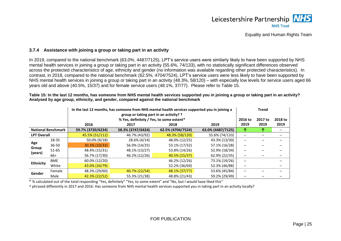

### **3.7.4 Assistance with joining a group or taking part in an activity**

In 2019, compared to the national benchmark (63.0%, 4487/7125), LPT's service users were similarly likely to have been supported by NHS mental health services in joining a group or taking part in an activity (55.6%, 74/133), with no statistically significant differences observed across the protected characteristics of age, ethnicity and gender (no information was available regarding other protected characteristics). In contrast, in 2018, compared to the national benchmark (62.5%, 4704/7524), LPT's service users were less likely to have been supported by NHS mental health services in joining a group or taking part in an activity (48.3%, 58/120) – with especially low levels for service users aged 66 years old and above (40.5%, 15/37) and for female service users (48.1%, 37/77). Please refer to [Table 15.](#page-26-2)

<span id="page-26-2"></span>**Table 15: In the last 12 months, has someone from NHS mental health services supported you in joining a group or taking part in an activity? Analysed by age group, ethnicity, and gender, compared against the national benchmark**

|                    |                              |                   | In the last 12 months, has someone from NHS mental health services supported you in joining a<br>group or taking part in an activity? $\dagger$ |                   |                   |         |         |         |
|--------------------|------------------------------|-------------------|-------------------------------------------------------------------------------------------------------------------------------------------------|-------------------|-------------------|---------|---------|---------|
|                    |                              |                   | % Yes, definitely / Yes, to some extent*                                                                                                        |                   |                   | 2016 to | 2017 to | 2018 to |
|                    | 2016<br>2019<br>2017<br>2018 |                   |                                                                                                                                                 |                   | 2019              | 2019    | 2019    |         |
|                    | <b>National Benchmark</b>    | 59.7% (3720/6234) | 58.3% (3747/6424)                                                                                                                               | 62.5% (4704/7524) | 63.0% (4487/7125) | ↑       |         |         |
| <b>LPT Overall</b> |                              | 45.5% (51/112)    | 46.7% (43/92)                                                                                                                                   | 48.3% (58/120)    | 55.6% (74/133)    |         |         |         |
|                    | 18-35                        | 50.0% (9/18)      | 28.6% (4/14)                                                                                                                                    | 48.0% (12/25)     | 43.3% (13/30)     |         |         |         |
| Age                | $36 - 50$                    | 30.3% (10/33)     | 56.0% (14/25)                                                                                                                                   | 53.1% (17/32)     | 57.1% (16/28)     |         |         |         |
| Group<br>(years)   | $51 - 65$                    | 48.4% (15/31)     | 48.1% (13/27)                                                                                                                                   | 53.8% (14/26)     | 52.9% (18/34)     |         |         |         |
|                    | 66+                          | 56.7% (17/30)     | 46.2% (12/26)                                                                                                                                   | 40.5% (15/37)     | 62.9% (22/35)     |         |         |         |
| <b>Ethnicity</b>   | <b>BME</b>                   | 60.0% (12/20)     |                                                                                                                                                 | 46.2% (12/26)     | 73.1% (19/26)     |         |         |         |
|                    | White                        | 43.0% (34/79)     |                                                                                                                                                 | 52.2% (36/69)     | 52.3% (46/88)     |         |         |         |
|                    | Female                       | 48.3% (29/60)     | 40.7% (22/54)                                                                                                                                   | 48.1% (37/77)     | 53.6% (45/84)     |         |         |         |
| Gender             | Male                         | 42.3% (22/52)     | 55.3% (21/38)                                                                                                                                   | 48.8% (21/43)     | 59.2% (29/49)     |         |         |         |

<span id="page-26-0"></span>\* % calculated out of the total responding "Yes, definitely" "Yes, to some extent" and "No, but I would have liked this"

<span id="page-26-1"></span>† phrased differently in 2017 and 2016: Has someone from NHS mental health services supported you in taking part in an activity locally?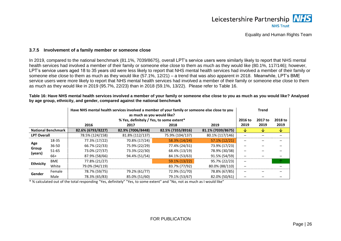

#### **3.7.5 Involvement of a family member or someone close**

In 2019, compared to the national benchmark (81.1%, 7039/8675), overall LPT's service users were similarly likely to report that NHS mental health services had involved a member of their family or someone else close to them as much as they would like (80.1%, 117/146); however, LPT's service users aged 18 to 35 years old were less likely to report that NHS mental health services had involved a member of their family or someone else close to them as much as they would like (57.1%, 12/21) – a trend that was also apparent in 2018. Meanwhile, LPT's BME service users were more likely to report that NHS mental health services had involved a member of their family or someone else close to them as much as they would like in 2019 (95.7%, 22/23) than in 2018 (59.1%, 13/22). Please refer to [Table 16.](#page-27-2)

<span id="page-27-2"></span>**Table 16: Have NHS mental health services involved a member of your family or someone else close to you as much as you would like? Analysed by age group, ethnicity, and gender, compared against the national benchmark**

|                    |                           |                   | Have NHS mental health services involved a member of your family or someone else close to you<br>as much as you would like? |                   |                   |         |         |         |
|--------------------|---------------------------|-------------------|-----------------------------------------------------------------------------------------------------------------------------|-------------------|-------------------|---------|---------|---------|
|                    |                           |                   | % Yes, definitely / Yes, to some extent*                                                                                    |                   |                   | 2016 to | 2017 to | 2018 to |
|                    |                           | 2016              | 2017                                                                                                                        | 2018              | 2019              | 2019    | 2019    | 2019    |
|                    | <b>National Benchmark</b> | 82.6% (6793/8227) | 82.9% (7006/8448)                                                                                                           | 82.5% (7355/8916) | 81.1% (7039/8675) | V       | ∿       | ↓       |
| <b>LPT Overall</b> |                           | 78.5% (124/158)   | 81.8% (112/137)                                                                                                             | 75.9% (104/137)   | 80.1% (117/146)   |         |         |         |
|                    | 18-35                     | 77.3% (17/22)     | 70.8% (17/24)                                                                                                               | 58.3% (14/24)     | 57.1% (12/21)     |         |         |         |
| Age                | $36 - 50$                 | 66.7% (22/33)     | 75.9% (22/29)                                                                                                               | 77.4% (24/31)     | 73.9% (17/23)     |         |         |         |
| Group              | $51 - 65$                 | 73.0% (27/37)     | 73.3% (22/30)                                                                                                               | 68.4% (13/19)     | 78.9% (30/38)     |         |         |         |
| (years)            | 66+                       | 87.9% (58/66)     | 94.4% (51/54)                                                                                                               | 84.1% (53/63)     | 91.5% (54/59)     | -       |         |         |
|                    | <b>BME</b>                | 77.8% (21/27)     |                                                                                                                             | 59.1% (13/22)     | 95.7% (22/23)     |         |         |         |
| <b>Ethnicity</b>   | White                     | 79.0% (94/119)    |                                                                                                                             | 83.7% (77/92)     | 80.0% (88/110)    |         |         |         |
| Gender             | Female                    | 78.7% (59/75)     | 79.2% (61/77)                                                                                                               | 72.9% (51/70)     | 78.8% (67/85)     |         |         |         |
|                    | Male                      | 78.3% (65/83)     | 85.0% (51/60)                                                                                                               | 79.1% (53/67)     | 82.0% (50/61)     |         |         |         |

<span id="page-27-1"></span><span id="page-27-0"></span>\* % calculated out of the total responding "Yes, definitely" "Yes, to some extent" and "No, not as much as I would like"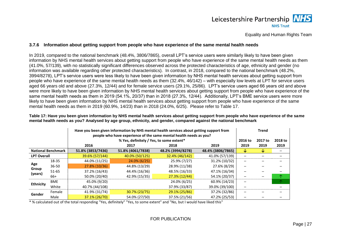# Leicestershire Partnership NHS **NHS Trust**

Equality and Human Rights Team

# **3.7.6 Information about getting support from people who have experience of the same mental health needs**

In 2019, compared to the national benchmark (48.4%, 3806/7865), overall LPT's service users were similarly likely to have been given information by NHS mental health services about getting support from people who have experience of the same mental health needs as them (41.0%, 57/139), with no statistically significant differences observed across the protected characteristics of age, ethnicity and gender (no information was available regarding other protected characteristics). In contrast, in 2018, compared to the national benchmark (48.2%, 3994/8278), LPT's service users were less likely to have been given information by NHS mental health services about getting support from people who have experience of the same mental health needs as them (32.4%, 46/142) – with especially low levels at LPT for service users aged 66 years old and above (27.3%, 12/44) and for female service users (29.1%, 25/86). LPT's service users aged 66 years old and above were more likely to have been given information by NHS mental health services about getting support from people who have experience of the same mental health needs as them in 2019 (54.1%, 20/37) than in 2018 (27.3%, 12/44). Additionally, LPT's BME service users were more likely to have been given information by NHS mental health services about getting support from people who have experience of the same mental health needs as them in 2019 (60.9%, 14/23) than in 2018 (24.0%, 6/25). Please refer to [Table 17.](#page-28-2)

<span id="page-28-2"></span>**Table 17: Have you been given information by NHS mental health services about getting support from people who have experience of the same mental health needs as you? Analysed by age group, ethnicity, and gender, compared against the national benchmark**

<span id="page-28-0"></span>

|                    |                              |                   | Have you been given information by NHS mental health services about getting support from<br>people who have experience of the same mental health needs as you?<br>% Yes, definitely / Yes, to some extent* |                   |                   |         |         |         |
|--------------------|------------------------------|-------------------|------------------------------------------------------------------------------------------------------------------------------------------------------------------------------------------------------------|-------------------|-------------------|---------|---------|---------|
|                    |                              |                   |                                                                                                                                                                                                            |                   |                   | 2016 to | 2017 to | 2018 to |
|                    | 2016<br>2017<br>2019<br>2018 |                   | 2019                                                                                                                                                                                                       | 2019              | 2019              |         |         |         |
|                    | <b>National Benchmark</b>    | 51.8% (3853/7436) | 51.8% (4061/7838)                                                                                                                                                                                          | 48.2% (3994/8278) | 48.4% (3806/7865) | V       | V       |         |
| <b>LPT Overall</b> |                              | 39.6% (57/144)    | 40.0% (50/125)                                                                                                                                                                                             | 32.4% (46/142)    | 41.0% (57/139)    |         |         |         |
|                    | 18-35                        | 44.0% (11/25)     | 24.0% (6/25)                                                                                                                                                                                               | 25.9% (7/27)      | 31.2% (10/32)     |         |         |         |
| Age                | $36 - 50$                    | 27.8% (10/36)     | 44.8% (13/29)                                                                                                                                                                                              | 28.9% (11/38)     | 27.6% (8/29)      |         |         |         |
| Group<br>(years)   | $51 - 65$                    | 37.2% (16/43)     | 44.4% (16/36)                                                                                                                                                                                              | 48.5% (16/33)     | 47.1% (16/34)     |         |         |         |
|                    | 66+                          | 50.0% (20/40)     | 42.9% (15/35)                                                                                                                                                                                              | 27.3% (12/44)     | 54.1% (20/37)     |         |         | 个       |
|                    | <b>BME</b>                   | 45.0% (9/20)      |                                                                                                                                                                                                            | 24.0% (6/25)      | 60.9% (14/23)     |         |         | 个       |
| <b>Ethnicity</b>   | White                        | 40.7% (44/108)    |                                                                                                                                                                                                            | 37.9% (33/87)     | 39.0% (39/100)    |         |         |         |
| Gender             | Female                       | 41.9% (31/74)     | 30.7% (23/75)                                                                                                                                                                                              | 29.1% (25/86)     | 37.2% (32/86)     |         |         |         |
|                    | Male                         | 37.1% (26/70)     | 54.0% (27/50)                                                                                                                                                                                              | 37.5% (21/56)     | 47.2% (25/53)     |         |         |         |

<span id="page-28-1"></span>\* % calculated out of the total responding "Yes, definitely" "Yes, to some extent" and "No, but I would have liked this"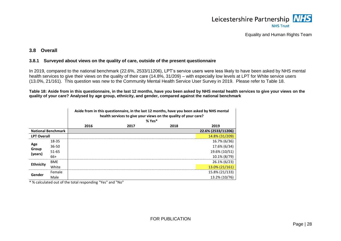

#### **3.8 Overall**

#### **3.8.1 Surveyed about views on the quality of care, outside of the present questionnaire**

In 2019, compared to the national benchmark (22.6%, 2533/11206), LPT's service users were less likely to have been asked by NHS mental health services to give their views on the quality of their care (14.8%, 31/209) – with especially low levels at LPT for White service users (13.0%, 21/161). This question was new to the Community Mental Health Service User Survey in 2019. Please refer to [Table 18.](#page-29-3)

<span id="page-29-3"></span>**Table 18: Aside from in this questionnaire, in the last 12 months, have you been asked by NHS mental health services to give your views on the quality of your care? Analysed by age group, ethnicity, and gender, compared against the national benchmark**

|                           |            |      | Aside from in this questionnaire, in the last 12 months, have you been asked by NHS mental<br>health services to give your views on the quality of your care?<br>$% Yes*$ |      |                    |  |  |  |
|---------------------------|------------|------|---------------------------------------------------------------------------------------------------------------------------------------------------------------------------|------|--------------------|--|--|--|
|                           |            | 2016 | 2017                                                                                                                                                                      | 2018 | 2019               |  |  |  |
| <b>National Benchmark</b> |            |      |                                                                                                                                                                           |      | 22.6% (2533/11206) |  |  |  |
| <b>LPT Overall</b>        |            |      |                                                                                                                                                                           |      | 14.8% (31/209)     |  |  |  |
|                           | 18-35      |      |                                                                                                                                                                           |      | 16.7% (6/36)       |  |  |  |
| Age                       | $36 - 50$  |      |                                                                                                                                                                           |      | 17.6% (6/34)       |  |  |  |
| Group                     | 51-65      |      |                                                                                                                                                                           |      | 19.6% (10/51)      |  |  |  |
| (years)                   | 66+        |      |                                                                                                                                                                           |      | 10.1% (8/79)       |  |  |  |
|                           | <b>BME</b> |      |                                                                                                                                                                           |      | 26.1% (6/23)       |  |  |  |
| <b>Ethnicity</b>          | White      |      |                                                                                                                                                                           |      | 13.0% (21/161)     |  |  |  |
|                           | Female     |      |                                                                                                                                                                           |      | 15.8% (21/133)     |  |  |  |
| Gender                    | Male       |      |                                                                                                                                                                           |      | 13.2% (10/76)      |  |  |  |

<span id="page-29-2"></span><span id="page-29-1"></span><span id="page-29-0"></span>\* % calculated out of the total responding "Yes" and "No"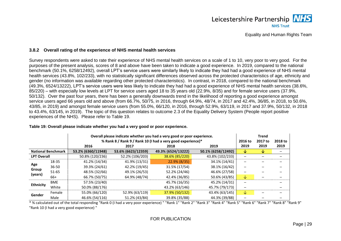

#### **3.8.2 Overall rating of the experience of NHS mental health services**

Survey respondents were asked to rate their experience of NHS mental health services on a scale of 1 to 10, very poor to very good. For the purposes of the present analysis, scores of 8 and above have been taken to indicate a good experience. In 2019, compared to the national benchmark (50.1%, 6258/12492), overall LPT's service users were similarly likely to indicate they had had a good experience of NHS mental health services (43.8%, 102/233), with no statistically significant differences observed across the protected characteristics of age, ethnicity and gender (no information was available regarding other protected characteristics). In contrast, in 2018, compared to the national benchmark (49.3%, 6524/13222), LPT's service users were less likely to indicate they had had a good experience of NHS mental health services (38.6%, 85/220) – with especially low levels at LPT for service users aged 18 to 35 years old (22.9%, 8/35) and for female service users (37.9%, 50/132). Over the past four years, there has been a generally downwards trend in the likelihood of reporting a good experience amongst service users aged 66 years old and above (from 66.7%, 50/75, in 2016, through 64.9%, 48/74, in 2017 and 42.4%, 36/85, in 2018, to 50.6%, 43/85, in 2019) and amongst female service users (from 55.0%, 66/120, in 2016, through 52.9%, 63/119, in 2017 and 37.9%, 50/132, in 2018 to 43.4%, 63/145, in 2019). The topic of this question relates to outcome 2.3 of the Equality Delivery System (People report positive experiences of the NHS). Please refer to [Table 19.](#page-30-2)

<span id="page-30-0"></span>

|                    | Overall please indicate whether you had a very good or poor experience. |                    |                    |                                                             |                    |         | <b>Trend</b> |         |
|--------------------|-------------------------------------------------------------------------|--------------------|--------------------|-------------------------------------------------------------|--------------------|---------|--------------|---------|
|                    |                                                                         |                    |                    | % Rank 8 / Rank 9 / Rank 10 (I had a very good experience)* |                    | 2016 to | 2017 to      | 2018 to |
|                    |                                                                         | 2016               | 2017               | 2018                                                        | 2019               | 2019    | 2019         | 2019    |
|                    | <b>National Benchmark</b>                                               | 53.2% (6360/11948) | 53.6% (6623/12359) | 49.3% (6524/13222)                                          | 50.1% (6258/12492) | ∿       | ∿            |         |
| <b>LPT Overall</b> |                                                                         | 50.8% (120/236)    | 52.2% (106/203)    | 38.6% (85/220)                                              | 43.8% (102/233)    |         |              |         |
| Age                | 18-35                                                                   | 41.2% (14/34)      | 41.9% (13/31)      | 22.9% (8/35)                                                | 34.1% (14/41)      |         |              |         |
|                    | $36 - 50$                                                               | 39.3% (24/61)      | 42.2% (19/45)      | 31.5% (17/54)                                               | 38.1% (16/42)      |         |              |         |
| Group              | $51 - 65$                                                               | 48.5% (32/66)      | 49.1% (26/53)      | 52.2% (24/46)                                               | 46.6% (27/58)      |         |              |         |
| (years)            | 66+                                                                     | 66.7% (50/75)      | 64.9% (48/74)      | 42.4% (36/85)                                               | 50.6% (43/85)      | ◡       |              |         |
|                    | <b>BME</b>                                                              | 57.5% (23/40)      |                    | 45.7% (16/35)                                               | 45.2% (14/31)      |         |              |         |
| <b>Ethnicity</b>   | White                                                                   | 50.0% (88/176)     |                    | 43.2% (63/146)                                              | 45.7% (79/173)     |         |              |         |
| Gender             | Female                                                                  | 55.0% (66/120)     | 52.9% (63/119)     | 37.9% (50/132)                                              | 43.4% (63/145)     | ∿       |              |         |
|                    | Male                                                                    | 46.6% (54/116)     | 51.2% (43/84)      | 39.8% (35/88)                                               | 44.3% (39/88)      |         |              |         |

#### <span id="page-30-2"></span>**Table 19: Overall please indicate whether you had a very good or poor experience.**

<span id="page-30-1"></span>\* % calculated out of the total responding "Rank 0 (I had a very poor experience) " "Rank 1" "Rank 2" "Rank 3" "Rank 4" "Rank 5" "Rank 6" "Rank 7" "Rank 8" "Rank 9" "Rank 10 (I had a very good experience) "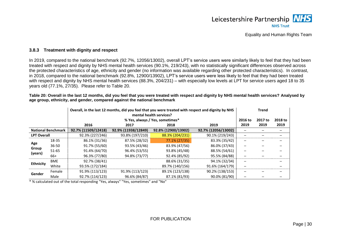

#### **3.8.3 Treatment with dignity and respect**

In 2019, compared to the national benchmark (92.7%, 12056/13002), overall LPT's service users were similarly likely to feel that they had been treated with respect and dignity by NHS mental health services (90.1%, 219/243), with no statistically significant differences observed across the protected characteristics of age, ethnicity and gender (no information was available regarding other protected characteristics). In contrast, in 2018, compared to the national benchmark (92.8%, 12900/13902), LPT's service users were less likely to feel that they had been treated with respect and dignity by NHS mental health services (88.3%, 204/231) – with especially low levels at LPT for service users aged 18 to 35 years old (77.1%, 27/35). Please refer to [Table 20.](#page-31-2)

<span id="page-31-2"></span>**Table 20: Overall in the last 12 months, did you feel that you were treated with respect and dignity by NHS mental health services? Analysed by age group, ethnicity, and gender, compared against the national benchmark**

|                    |                           |                     | Overall, in the last 12 months, did you feel that you were treated with respect and dignity by NHS<br>mental health services? |                                 |                     |         |         | <b>Trend</b> |  |  |
|--------------------|---------------------------|---------------------|-------------------------------------------------------------------------------------------------------------------------------|---------------------------------|---------------------|---------|---------|--------------|--|--|
|                    |                           |                     |                                                                                                                               | % Yes, always / Yes, sometimes* |                     | 2016 to | 2017 to | 2018 to      |  |  |
|                    |                           | 2016                | 2017                                                                                                                          | 2018                            | 2019                | 2019    | 2019    | 2019         |  |  |
|                    | <b>National Benchmark</b> | 92.7% (11509/12418) | 92.9% (11938/12849)                                                                                                           | 92.8% (12900/13902)             | 92.7% (12056/13002) |         |         |              |  |  |
| <b>LPT Overall</b> |                           | 92.3% (227/246)     | 93.8% (197/210)                                                                                                               | 88.3% (204/231)                 | 90.1% (219/243)     |         |         |              |  |  |
|                    | 18-35                     | 86.1% (31/36)       | 87.5% (28/32)                                                                                                                 | 77.1% (27/35)                   | 83.3% (35/42)       |         |         |              |  |  |
| Age                | $36 - 50$                 | 91.7% (55/60)       | 93.5% (43/46)                                                                                                                 | 83.9% (47/56)                   | 86.0% (37/43)       |         |         |              |  |  |
| Group<br>(years)   | $51 - 65$                 | 91.4% (64/70)       | 96.4% (53/55)                                                                                                                 | 93.8% (45/48)                   | 88.5% (54/61)       |         |         |              |  |  |
|                    | 66+                       | 96.3% (77/80)       | 94.8% (73/77)                                                                                                                 | 92.4% (85/92)                   | 95.5% (84/88)       |         |         |              |  |  |
|                    | <b>BME</b>                | 92.7% (38/41)       |                                                                                                                               | 88.6% (31/35)                   | 94.1% (32/34)       | -       |         |              |  |  |
| <b>Ethnicity</b>   | White                     | 93.5% (172/184)     |                                                                                                                               | 89.7% (140/156)                 | 91.6% (164/179)     |         |         |              |  |  |
|                    | Female                    | 91.9% (113/123)     | 91.9% (113/123)                                                                                                               | 89.1% (123/138)                 | 90.2% (138/153)     |         |         |              |  |  |
| Gender             | Male                      | 92.7% (114/123)     | 96.6% (84/87)                                                                                                                 | 87.1% (81/93)                   | 90.0% (81/90)       |         |         |              |  |  |

<span id="page-31-1"></span><span id="page-31-0"></span>\* % calculated out of the total responding "Yes, always" "Yes, sometimes" and "No"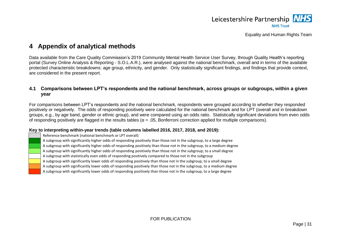

# **4 Appendix of analytical methods**

Data available from the Care Quality Commission's 2019 Community Mental Health Service User Survey, through Quality Health's reporting portal (Survey Online Analysis & Reporting - S.O.L.A.R.), were analysed against the national benchmark, overall and in terms of the available protected characteristic breakdowns: age group, ethnicity, and gender. Only statistically significant findings, and findings that provide context, are considered in the present report.

# **4.1 Comparisons between LPT's respondents and the national benchmark, across groups or subgroups, within a given year**

For comparisons between LPT's respondents and the national benchmark, respondents were grouped according to whether they responded positively or negatively. The odds of responding positively were calculated for the national benchmark and for LPT (overall and in breakdown groups, e.g., by age band, gender or ethnic group), and were compared using an odds ratio. Statistically significant deviations from even odds of responding positively are flagged in the results tables (α = .05, Bonferroni correction applied for multiple comparisons).

### **Key to interpreting within-year trends (table columns labelled 2016, 2017, 2018, and 2019):**

Reference benchmark (national benchmark or LPT overall)

A subgroup with significantly higher odds of responding positively than those not in the subgroup, to a large degree

<span id="page-32-0"></span>A subgroup with significantly higher odds of responding positively than those not in the subgroup, to a medium degree

A subgroup with significantly higher odds of responding positively than those not in the subgroup, to a small degree

A subgroup with statistically even odds of responding positively compared to those not in the subgroup

A subgroup with significantly lower odds of responding positively than those not in the subgroup, to a small degree

A subgroup with significantly lower odds of responding positively than those not in the subgroup, to a medium degree

<span id="page-32-1"></span>A subgroup with significantly lower odds of responding positively than those not in the subgroup, to a large degree